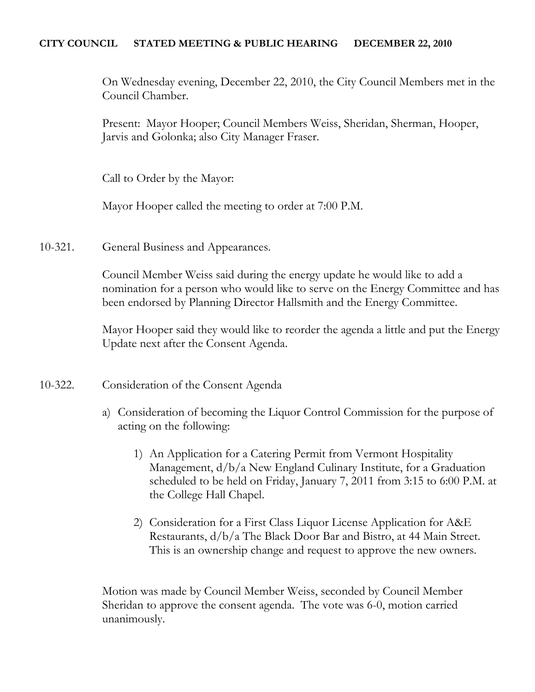#### **CITY COUNCIL STATED MEETING & PUBLIC HEARING DECEMBER 22, 2010**

On Wednesday evening, December 22, 2010, the City Council Members met in the Council Chamber.

Present: Mayor Hooper; Council Members Weiss, Sheridan, Sherman, Hooper, Jarvis and Golonka; also City Manager Fraser.

Call to Order by the Mayor:

Mayor Hooper called the meeting to order at 7:00 P.M.

10-321. General Business and Appearances.

Council Member Weiss said during the energy update he would like to add a nomination for a person who would like to serve on the Energy Committee and has been endorsed by Planning Director Hallsmith and the Energy Committee.

Mayor Hooper said they would like to reorder the agenda a little and put the Energy Update next after the Consent Agenda.

10-322. Consideration of the Consent Agenda

- a) Consideration of becoming the Liquor Control Commission for the purpose of acting on the following:
	- 1) An Application for a Catering Permit from Vermont Hospitality Management, d/b/a New England Culinary Institute, for a Graduation scheduled to be held on Friday, January 7, 2011 from 3:15 to 6:00 P.M. at the College Hall Chapel.
	- 2) Consideration for a First Class Liquor License Application for A&E Restaurants, d/b/a The Black Door Bar and Bistro, at 44 Main Street. This is an ownership change and request to approve the new owners.

Motion was made by Council Member Weiss, seconded by Council Member Sheridan to approve the consent agenda. The vote was 6-0, motion carried unanimously.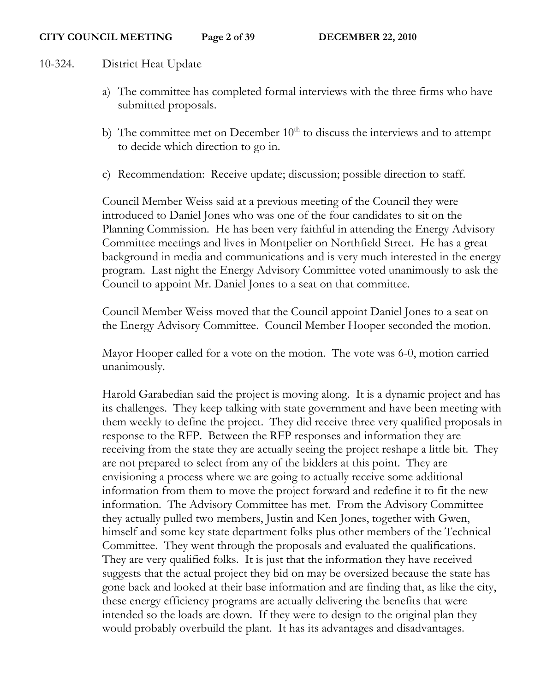#### 10-324. District Heat Update

- a) The committee has completed formal interviews with the three firms who have submitted proposals.
- b) The committee met on December  $10<sup>th</sup>$  to discuss the interviews and to attempt to decide which direction to go in.
- c) Recommendation: Receive update; discussion; possible direction to staff.

Council Member Weiss said at a previous meeting of the Council they were introduced to Daniel Jones who was one of the four candidates to sit on the Planning Commission. He has been very faithful in attending the Energy Advisory Committee meetings and lives in Montpelier on Northfield Street. He has a great background in media and communications and is very much interested in the energy program. Last night the Energy Advisory Committee voted unanimously to ask the Council to appoint Mr. Daniel Jones to a seat on that committee.

Council Member Weiss moved that the Council appoint Daniel Jones to a seat on the Energy Advisory Committee. Council Member Hooper seconded the motion.

Mayor Hooper called for a vote on the motion. The vote was 6-0, motion carried unanimously.

Harold Garabedian said the project is moving along. It is a dynamic project and has its challenges. They keep talking with state government and have been meeting with them weekly to define the project. They did receive three very qualified proposals in response to the RFP. Between the RFP responses and information they are receiving from the state they are actually seeing the project reshape a little bit. They are not prepared to select from any of the bidders at this point. They are envisioning a process where we are going to actually receive some additional information from them to move the project forward and redefine it to fit the new information. The Advisory Committee has met. From the Advisory Committee they actually pulled two members, Justin and Ken Jones, together with Gwen, himself and some key state department folks plus other members of the Technical Committee. They went through the proposals and evaluated the qualifications. They are very qualified folks. It is just that the information they have received suggests that the actual project they bid on may be oversized because the state has gone back and looked at their base information and are finding that, as like the city, these energy efficiency programs are actually delivering the benefits that were intended so the loads are down. If they were to design to the original plan they would probably overbuild the plant. It has its advantages and disadvantages.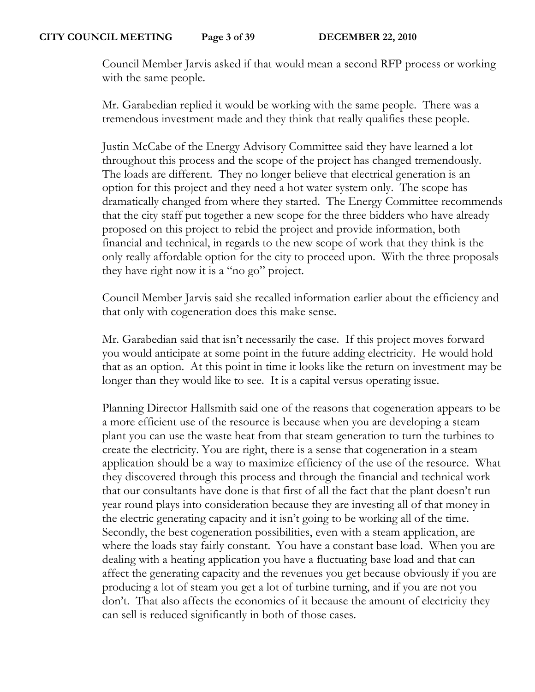Council Member Jarvis asked if that would mean a second RFP process or working with the same people.

Mr. Garabedian replied it would be working with the same people. There was a tremendous investment made and they think that really qualifies these people.

Justin McCabe of the Energy Advisory Committee said they have learned a lot throughout this process and the scope of the project has changed tremendously. The loads are different. They no longer believe that electrical generation is an option for this project and they need a hot water system only. The scope has dramatically changed from where they started. The Energy Committee recommends that the city staff put together a new scope for the three bidders who have already proposed on this project to rebid the project and provide information, both financial and technical, in regards to the new scope of work that they think is the only really affordable option for the city to proceed upon. With the three proposals they have right now it is a "no go" project.

Council Member Jarvis said she recalled information earlier about the efficiency and that only with cogeneration does this make sense.

Mr. Garabedian said that isn't necessarily the case. If this project moves forward you would anticipate at some point in the future adding electricity. He would hold that as an option. At this point in time it looks like the return on investment may be longer than they would like to see. It is a capital versus operating issue.

Planning Director Hallsmith said one of the reasons that cogeneration appears to be a more efficient use of the resource is because when you are developing a steam plant you can use the waste heat from that steam generation to turn the turbines to create the electricity. You are right, there is a sense that cogeneration in a steam application should be a way to maximize efficiency of the use of the resource. What they discovered through this process and through the financial and technical work that our consultants have done is that first of all the fact that the plant doesn't run year round plays into consideration because they are investing all of that money in the electric generating capacity and it isn't going to be working all of the time. Secondly, the best cogeneration possibilities, even with a steam application, are where the loads stay fairly constant. You have a constant base load. When you are dealing with a heating application you have a fluctuating base load and that can affect the generating capacity and the revenues you get because obviously if you are producing a lot of steam you get a lot of turbine turning, and if you are not you don't. That also affects the economics of it because the amount of electricity they can sell is reduced significantly in both of those cases.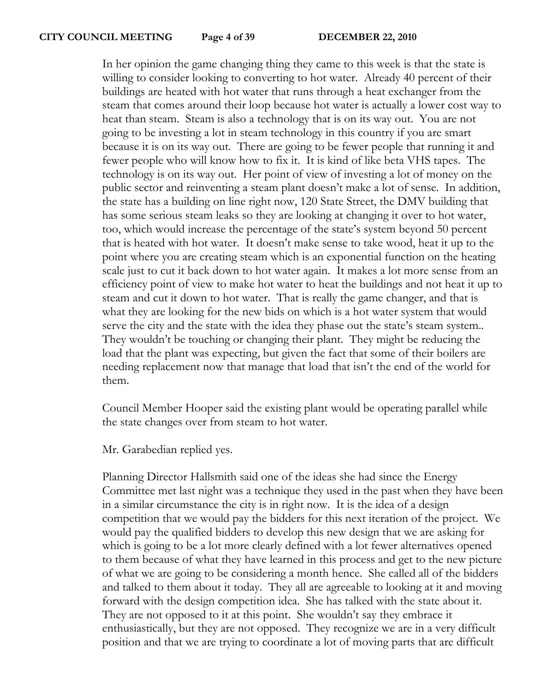In her opinion the game changing thing they came to this week is that the state is willing to consider looking to converting to hot water. Already 40 percent of their buildings are heated with hot water that runs through a heat exchanger from the steam that comes around their loop because hot water is actually a lower cost way to heat than steam. Steam is also a technology that is on its way out. You are not going to be investing a lot in steam technology in this country if you are smart because it is on its way out. There are going to be fewer people that running it and fewer people who will know how to fix it. It is kind of like beta VHS tapes. The technology is on its way out. Her point of view of investing a lot of money on the public sector and reinventing a steam plant doesn't make a lot of sense. In addition, the state has a building on line right now, 120 State Street, the DMV building that has some serious steam leaks so they are looking at changing it over to hot water, too, which would increase the percentage of the state's system beyond 50 percent that is heated with hot water. It doesn't make sense to take wood, heat it up to the point where you are creating steam which is an exponential function on the heating scale just to cut it back down to hot water again. It makes a lot more sense from an efficiency point of view to make hot water to heat the buildings and not heat it up to steam and cut it down to hot water. That is really the game changer, and that is what they are looking for the new bids on which is a hot water system that would serve the city and the state with the idea they phase out the state's steam system.. They wouldn't be touching or changing their plant. They might be reducing the load that the plant was expecting, but given the fact that some of their boilers are needing replacement now that manage that load that isn't the end of the world for them.

Council Member Hooper said the existing plant would be operating parallel while the state changes over from steam to hot water.

Mr. Garabedian replied yes.

Planning Director Hallsmith said one of the ideas she had since the Energy Committee met last night was a technique they used in the past when they have been in a similar circumstance the city is in right now. It is the idea of a design competition that we would pay the bidders for this next iteration of the project. We would pay the qualified bidders to develop this new design that we are asking for which is going to be a lot more clearly defined with a lot fewer alternatives opened to them because of what they have learned in this process and get to the new picture of what we are going to be considering a month hence. She called all of the bidders and talked to them about it today. They all are agreeable to looking at it and moving forward with the design competition idea. She has talked with the state about it. They are not opposed to it at this point. She wouldn't say they embrace it enthusiastically, but they are not opposed. They recognize we are in a very difficult position and that we are trying to coordinate a lot of moving parts that are difficult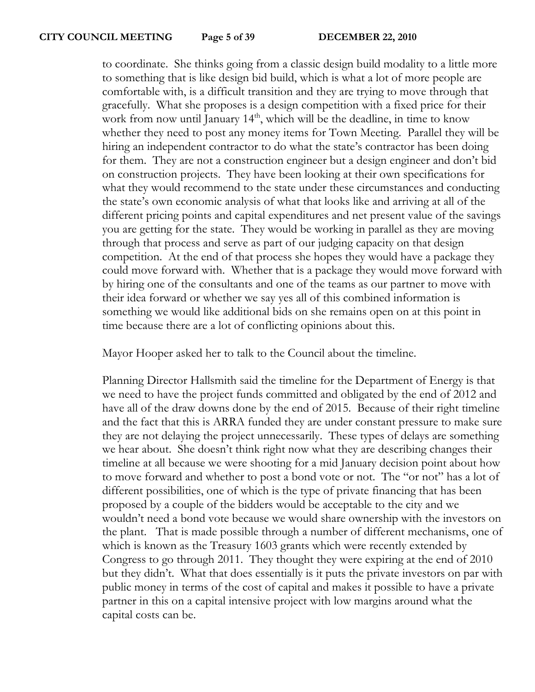to coordinate. She thinks going from a classic design build modality to a little more to something that is like design bid build, which is what a lot of more people are comfortable with, is a difficult transition and they are trying to move through that gracefully. What she proposes is a design competition with a fixed price for their work from now until January 14<sup>th</sup>, which will be the deadline, in time to know whether they need to post any money items for Town Meeting. Parallel they will be hiring an independent contractor to do what the state's contractor has been doing for them. They are not a construction engineer but a design engineer and don't bid on construction projects. They have been looking at their own specifications for what they would recommend to the state under these circumstances and conducting the state's own economic analysis of what that looks like and arriving at all of the different pricing points and capital expenditures and net present value of the savings you are getting for the state. They would be working in parallel as they are moving through that process and serve as part of our judging capacity on that design competition. At the end of that process she hopes they would have a package they could move forward with. Whether that is a package they would move forward with by hiring one of the consultants and one of the teams as our partner to move with their idea forward or whether we say yes all of this combined information is something we would like additional bids on she remains open on at this point in time because there are a lot of conflicting opinions about this.

Mayor Hooper asked her to talk to the Council about the timeline.

Planning Director Hallsmith said the timeline for the Department of Energy is that we need to have the project funds committed and obligated by the end of 2012 and have all of the draw downs done by the end of 2015. Because of their right timeline and the fact that this is ARRA funded they are under constant pressure to make sure they are not delaying the project unnecessarily. These types of delays are something we hear about. She doesn't think right now what they are describing changes their timeline at all because we were shooting for a mid January decision point about how to move forward and whether to post a bond vote or not. The "or not" has a lot of different possibilities, one of which is the type of private financing that has been proposed by a couple of the bidders would be acceptable to the city and we wouldn't need a bond vote because we would share ownership with the investors on the plant. That is made possible through a number of different mechanisms, one of which is known as the Treasury 1603 grants which were recently extended by Congress to go through 2011. They thought they were expiring at the end of 2010 but they didn't. What that does essentially is it puts the private investors on par with public money in terms of the cost of capital and makes it possible to have a private partner in this on a capital intensive project with low margins around what the capital costs can be.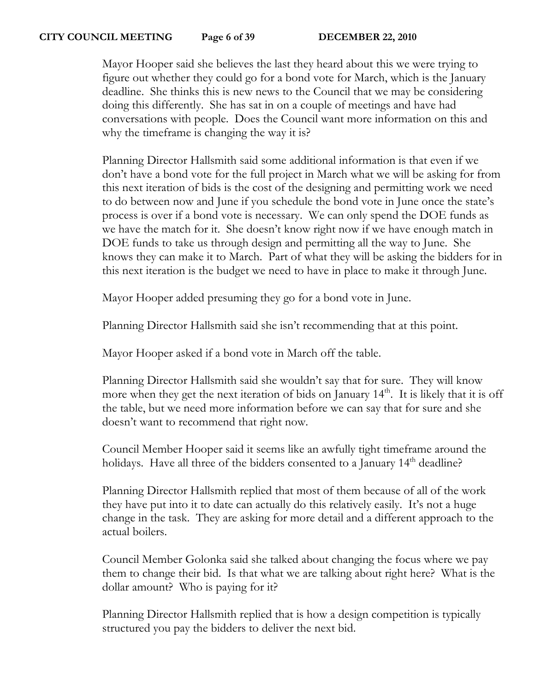#### **CITY COUNCIL MEETING Page 6 of 39 DECEMBER 22, 2010**

Mayor Hooper said she believes the last they heard about this we were trying to figure out whether they could go for a bond vote for March, which is the January deadline. She thinks this is new news to the Council that we may be considering doing this differently. She has sat in on a couple of meetings and have had conversations with people. Does the Council want more information on this and why the timeframe is changing the way it is?

Planning Director Hallsmith said some additional information is that even if we don't have a bond vote for the full project in March what we will be asking for from this next iteration of bids is the cost of the designing and permitting work we need to do between now and June if you schedule the bond vote in June once the state's process is over if a bond vote is necessary. We can only spend the DOE funds as we have the match for it. She doesn't know right now if we have enough match in DOE funds to take us through design and permitting all the way to June. She knows they can make it to March. Part of what they will be asking the bidders for in this next iteration is the budget we need to have in place to make it through June.

Mayor Hooper added presuming they go for a bond vote in June.

Planning Director Hallsmith said she isn't recommending that at this point.

Mayor Hooper asked if a bond vote in March off the table.

Planning Director Hallsmith said she wouldn't say that for sure. They will know more when they get the next iteration of bids on January  $14<sup>th</sup>$ . It is likely that it is off the table, but we need more information before we can say that for sure and she doesn't want to recommend that right now.

Council Member Hooper said it seems like an awfully tight timeframe around the holidays. Have all three of the bidders consented to a January 14<sup>th</sup> deadline?

Planning Director Hallsmith replied that most of them because of all of the work they have put into it to date can actually do this relatively easily. It's not a huge change in the task. They are asking for more detail and a different approach to the actual boilers.

Council Member Golonka said she talked about changing the focus where we pay them to change their bid. Is that what we are talking about right here? What is the dollar amount? Who is paying for it?

Planning Director Hallsmith replied that is how a design competition is typically structured you pay the bidders to deliver the next bid.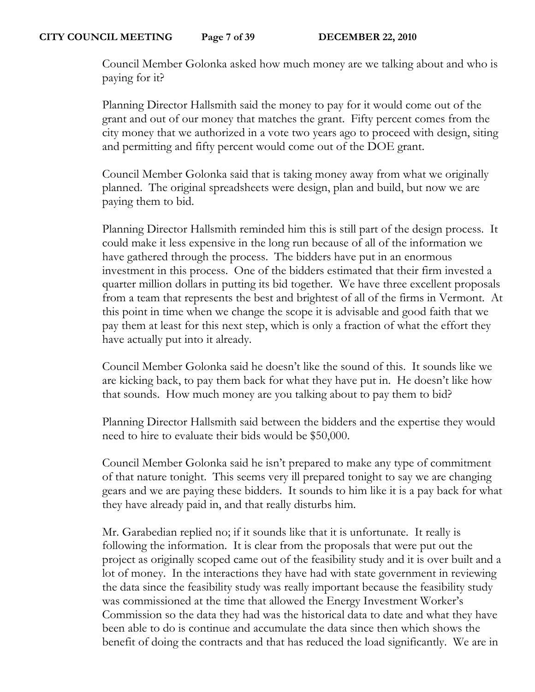Council Member Golonka asked how much money are we talking about and who is paying for it?

Planning Director Hallsmith said the money to pay for it would come out of the grant and out of our money that matches the grant. Fifty percent comes from the city money that we authorized in a vote two years ago to proceed with design, siting and permitting and fifty percent would come out of the DOE grant.

Council Member Golonka said that is taking money away from what we originally planned. The original spreadsheets were design, plan and build, but now we are paying them to bid.

Planning Director Hallsmith reminded him this is still part of the design process. It could make it less expensive in the long run because of all of the information we have gathered through the process. The bidders have put in an enormous investment in this process. One of the bidders estimated that their firm invested a quarter million dollars in putting its bid together. We have three excellent proposals from a team that represents the best and brightest of all of the firms in Vermont. At this point in time when we change the scope it is advisable and good faith that we pay them at least for this next step, which is only a fraction of what the effort they have actually put into it already.

Council Member Golonka said he doesn't like the sound of this. It sounds like we are kicking back, to pay them back for what they have put in. He doesn't like how that sounds. How much money are you talking about to pay them to bid?

Planning Director Hallsmith said between the bidders and the expertise they would need to hire to evaluate their bids would be \$50,000.

Council Member Golonka said he isn't prepared to make any type of commitment of that nature tonight. This seems very ill prepared tonight to say we are changing gears and we are paying these bidders. It sounds to him like it is a pay back for what they have already paid in, and that really disturbs him.

Mr. Garabedian replied no; if it sounds like that it is unfortunate. It really is following the information. It is clear from the proposals that were put out the project as originally scoped came out of the feasibility study and it is over built and a lot of money. In the interactions they have had with state government in reviewing the data since the feasibility study was really important because the feasibility study was commissioned at the time that allowed the Energy Investment Worker's Commission so the data they had was the historical data to date and what they have been able to do is continue and accumulate the data since then which shows the benefit of doing the contracts and that has reduced the load significantly. We are in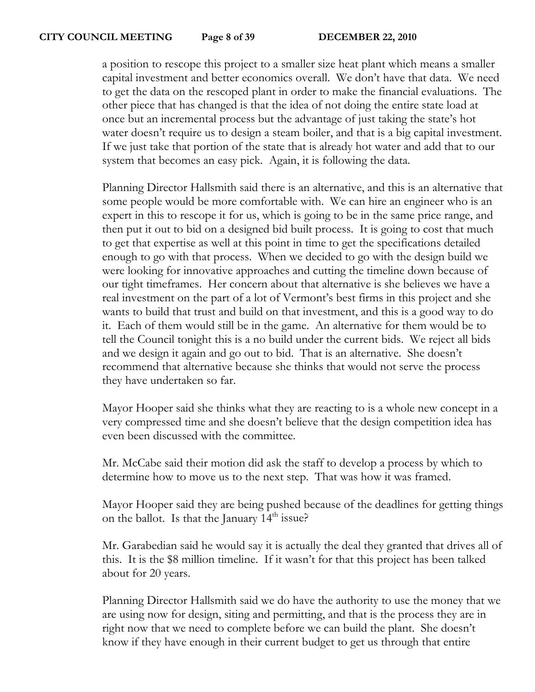a position to rescope this project to a smaller size heat plant which means a smaller capital investment and better economics overall. We don't have that data. We need to get the data on the rescoped plant in order to make the financial evaluations. The other piece that has changed is that the idea of not doing the entire state load at once but an incremental process but the advantage of just taking the state's hot water doesn't require us to design a steam boiler, and that is a big capital investment. If we just take that portion of the state that is already hot water and add that to our system that becomes an easy pick. Again, it is following the data.

Planning Director Hallsmith said there is an alternative, and this is an alternative that some people would be more comfortable with. We can hire an engineer who is an expert in this to rescope it for us, which is going to be in the same price range, and then put it out to bid on a designed bid built process. It is going to cost that much to get that expertise as well at this point in time to get the specifications detailed enough to go with that process. When we decided to go with the design build we were looking for innovative approaches and cutting the timeline down because of our tight timeframes. Her concern about that alternative is she believes we have a real investment on the part of a lot of Vermont's best firms in this project and she wants to build that trust and build on that investment, and this is a good way to do it. Each of them would still be in the game. An alternative for them would be to tell the Council tonight this is a no build under the current bids. We reject all bids and we design it again and go out to bid. That is an alternative. She doesn't recommend that alternative because she thinks that would not serve the process they have undertaken so far.

Mayor Hooper said she thinks what they are reacting to is a whole new concept in a very compressed time and she doesn't believe that the design competition idea has even been discussed with the committee.

Mr. McCabe said their motion did ask the staff to develop a process by which to determine how to move us to the next step. That was how it was framed.

Mayor Hooper said they are being pushed because of the deadlines for getting things on the ballot. Is that the January  $14<sup>th</sup>$  issue?

Mr. Garabedian said he would say it is actually the deal they granted that drives all of this. It is the \$8 million timeline. If it wasn't for that this project has been talked about for 20 years.

Planning Director Hallsmith said we do have the authority to use the money that we are using now for design, siting and permitting, and that is the process they are in right now that we need to complete before we can build the plant. She doesn't know if they have enough in their current budget to get us through that entire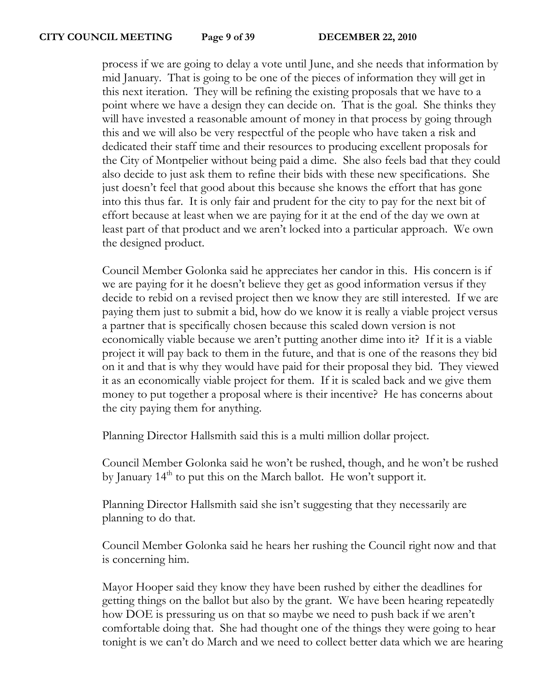process if we are going to delay a vote until June, and she needs that information by mid January. That is going to be one of the pieces of information they will get in this next iteration. They will be refining the existing proposals that we have to a point where we have a design they can decide on. That is the goal. She thinks they will have invested a reasonable amount of money in that process by going through this and we will also be very respectful of the people who have taken a risk and dedicated their staff time and their resources to producing excellent proposals for the City of Montpelier without being paid a dime. She also feels bad that they could also decide to just ask them to refine their bids with these new specifications. She just doesn't feel that good about this because she knows the effort that has gone into this thus far. It is only fair and prudent for the city to pay for the next bit of effort because at least when we are paying for it at the end of the day we own at least part of that product and we aren't locked into a particular approach. We own the designed product.

Council Member Golonka said he appreciates her candor in this. His concern is if we are paying for it he doesn't believe they get as good information versus if they decide to rebid on a revised project then we know they are still interested. If we are paying them just to submit a bid, how do we know it is really a viable project versus a partner that is specifically chosen because this scaled down version is not economically viable because we aren't putting another dime into it? If it is a viable project it will pay back to them in the future, and that is one of the reasons they bid on it and that is why they would have paid for their proposal they bid. They viewed it as an economically viable project for them. If it is scaled back and we give them money to put together a proposal where is their incentive? He has concerns about the city paying them for anything.

Planning Director Hallsmith said this is a multi million dollar project.

Council Member Golonka said he won't be rushed, though, and he won't be rushed by January  $14<sup>th</sup>$  to put this on the March ballot. He won't support it.

Planning Director Hallsmith said she isn't suggesting that they necessarily are planning to do that.

Council Member Golonka said he hears her rushing the Council right now and that is concerning him.

Mayor Hooper said they know they have been rushed by either the deadlines for getting things on the ballot but also by the grant. We have been hearing repeatedly how DOE is pressuring us on that so maybe we need to push back if we aren't comfortable doing that. She had thought one of the things they were going to hear tonight is we can't do March and we need to collect better data which we are hearing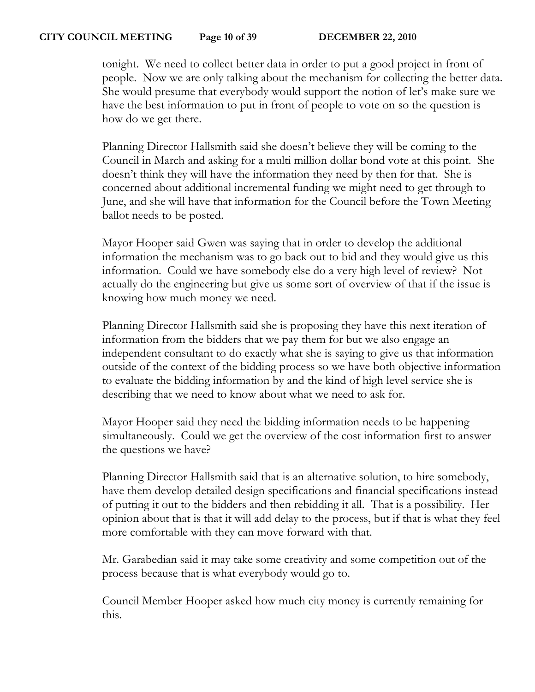tonight. We need to collect better data in order to put a good project in front of people. Now we are only talking about the mechanism for collecting the better data. She would presume that everybody would support the notion of let's make sure we have the best information to put in front of people to vote on so the question is how do we get there.

Planning Director Hallsmith said she doesn't believe they will be coming to the Council in March and asking for a multi million dollar bond vote at this point. She doesn't think they will have the information they need by then for that. She is concerned about additional incremental funding we might need to get through to June, and she will have that information for the Council before the Town Meeting ballot needs to be posted.

Mayor Hooper said Gwen was saying that in order to develop the additional information the mechanism was to go back out to bid and they would give us this information. Could we have somebody else do a very high level of review? Not actually do the engineering but give us some sort of overview of that if the issue is knowing how much money we need.

Planning Director Hallsmith said she is proposing they have this next iteration of information from the bidders that we pay them for but we also engage an independent consultant to do exactly what she is saying to give us that information outside of the context of the bidding process so we have both objective information to evaluate the bidding information by and the kind of high level service she is describing that we need to know about what we need to ask for.

Mayor Hooper said they need the bidding information needs to be happening simultaneously. Could we get the overview of the cost information first to answer the questions we have?

Planning Director Hallsmith said that is an alternative solution, to hire somebody, have them develop detailed design specifications and financial specifications instead of putting it out to the bidders and then rebidding it all. That is a possibility. Her opinion about that is that it will add delay to the process, but if that is what they feel more comfortable with they can move forward with that.

Mr. Garabedian said it may take some creativity and some competition out of the process because that is what everybody would go to.

Council Member Hooper asked how much city money is currently remaining for this.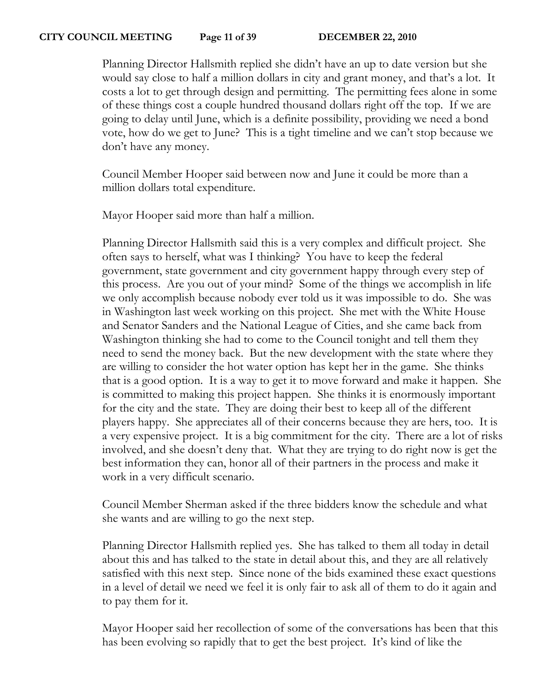Planning Director Hallsmith replied she didn't have an up to date version but she would say close to half a million dollars in city and grant money, and that's a lot. It costs a lot to get through design and permitting. The permitting fees alone in some of these things cost a couple hundred thousand dollars right off the top. If we are going to delay until June, which is a definite possibility, providing we need a bond vote, how do we get to June? This is a tight timeline and we can't stop because we don't have any money.

Council Member Hooper said between now and June it could be more than a million dollars total expenditure.

Mayor Hooper said more than half a million.

Planning Director Hallsmith said this is a very complex and difficult project. She often says to herself, what was I thinking? You have to keep the federal government, state government and city government happy through every step of this process. Are you out of your mind? Some of the things we accomplish in life we only accomplish because nobody ever told us it was impossible to do. She was in Washington last week working on this project. She met with the White House and Senator Sanders and the National League of Cities, and she came back from Washington thinking she had to come to the Council tonight and tell them they need to send the money back. But the new development with the state where they are willing to consider the hot water option has kept her in the game. She thinks that is a good option. It is a way to get it to move forward and make it happen. She is committed to making this project happen. She thinks it is enormously important for the city and the state. They are doing their best to keep all of the different players happy. She appreciates all of their concerns because they are hers, too. It is a very expensive project. It is a big commitment for the city. There are a lot of risks involved, and she doesn't deny that. What they are trying to do right now is get the best information they can, honor all of their partners in the process and make it work in a very difficult scenario.

Council Member Sherman asked if the three bidders know the schedule and what she wants and are willing to go the next step.

Planning Director Hallsmith replied yes. She has talked to them all today in detail about this and has talked to the state in detail about this, and they are all relatively satisfied with this next step. Since none of the bids examined these exact questions in a level of detail we need we feel it is only fair to ask all of them to do it again and to pay them for it.

Mayor Hooper said her recollection of some of the conversations has been that this has been evolving so rapidly that to get the best project. It's kind of like the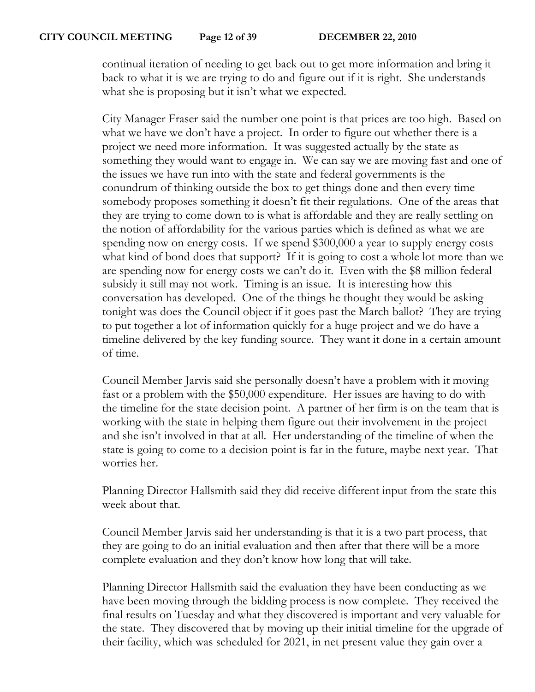continual iteration of needing to get back out to get more information and bring it back to what it is we are trying to do and figure out if it is right. She understands what she is proposing but it isn't what we expected.

City Manager Fraser said the number one point is that prices are too high. Based on what we have we don't have a project. In order to figure out whether there is a project we need more information. It was suggested actually by the state as something they would want to engage in. We can say we are moving fast and one of the issues we have run into with the state and federal governments is the conundrum of thinking outside the box to get things done and then every time somebody proposes something it doesn't fit their regulations. One of the areas that they are trying to come down to is what is affordable and they are really settling on the notion of affordability for the various parties which is defined as what we are spending now on energy costs. If we spend \$300,000 a year to supply energy costs what kind of bond does that support? If it is going to cost a whole lot more than we are spending now for energy costs we can't do it. Even with the \$8 million federal subsidy it still may not work. Timing is an issue. It is interesting how this conversation has developed. One of the things he thought they would be asking tonight was does the Council object if it goes past the March ballot? They are trying to put together a lot of information quickly for a huge project and we do have a timeline delivered by the key funding source. They want it done in a certain amount of time.

Council Member Jarvis said she personally doesn't have a problem with it moving fast or a problem with the \$50,000 expenditure. Her issues are having to do with the timeline for the state decision point. A partner of her firm is on the team that is working with the state in helping them figure out their involvement in the project and she isn't involved in that at all. Her understanding of the timeline of when the state is going to come to a decision point is far in the future, maybe next year. That worries her.

Planning Director Hallsmith said they did receive different input from the state this week about that.

Council Member Jarvis said her understanding is that it is a two part process, that they are going to do an initial evaluation and then after that there will be a more complete evaluation and they don't know how long that will take.

Planning Director Hallsmith said the evaluation they have been conducting as we have been moving through the bidding process is now complete. They received the final results on Tuesday and what they discovered is important and very valuable for the state. They discovered that by moving up their initial timeline for the upgrade of their facility, which was scheduled for 2021, in net present value they gain over a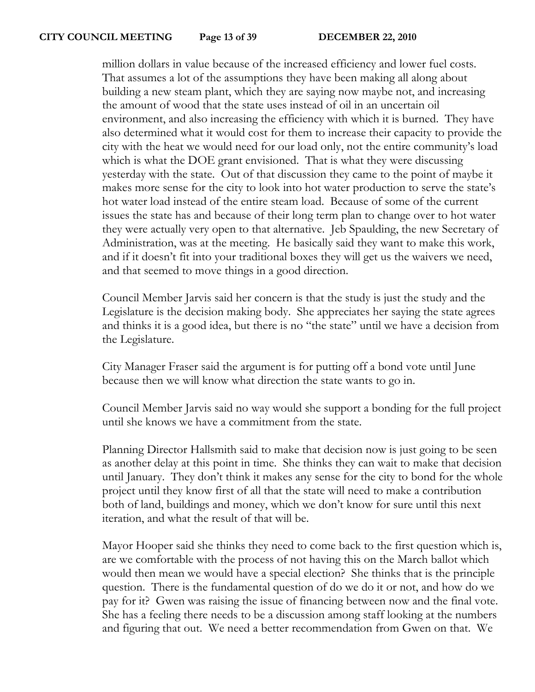million dollars in value because of the increased efficiency and lower fuel costs. That assumes a lot of the assumptions they have been making all along about building a new steam plant, which they are saying now maybe not, and increasing the amount of wood that the state uses instead of oil in an uncertain oil environment, and also increasing the efficiency with which it is burned. They have also determined what it would cost for them to increase their capacity to provide the city with the heat we would need for our load only, not the entire community's load which is what the DOE grant envisioned. That is what they were discussing yesterday with the state. Out of that discussion they came to the point of maybe it makes more sense for the city to look into hot water production to serve the state's hot water load instead of the entire steam load. Because of some of the current issues the state has and because of their long term plan to change over to hot water they were actually very open to that alternative. Jeb Spaulding, the new Secretary of Administration, was at the meeting. He basically said they want to make this work, and if it doesn't fit into your traditional boxes they will get us the waivers we need, and that seemed to move things in a good direction.

Council Member Jarvis said her concern is that the study is just the study and the Legislature is the decision making body. She appreciates her saying the state agrees and thinks it is a good idea, but there is no "the state" until we have a decision from the Legislature.

City Manager Fraser said the argument is for putting off a bond vote until June because then we will know what direction the state wants to go in.

Council Member Jarvis said no way would she support a bonding for the full project until she knows we have a commitment from the state.

Planning Director Hallsmith said to make that decision now is just going to be seen as another delay at this point in time. She thinks they can wait to make that decision until January. They don't think it makes any sense for the city to bond for the whole project until they know first of all that the state will need to make a contribution both of land, buildings and money, which we don't know for sure until this next iteration, and what the result of that will be.

Mayor Hooper said she thinks they need to come back to the first question which is, are we comfortable with the process of not having this on the March ballot which would then mean we would have a special election? She thinks that is the principle question. There is the fundamental question of do we do it or not, and how do we pay for it? Gwen was raising the issue of financing between now and the final vote. She has a feeling there needs to be a discussion among staff looking at the numbers and figuring that out. We need a better recommendation from Gwen on that. We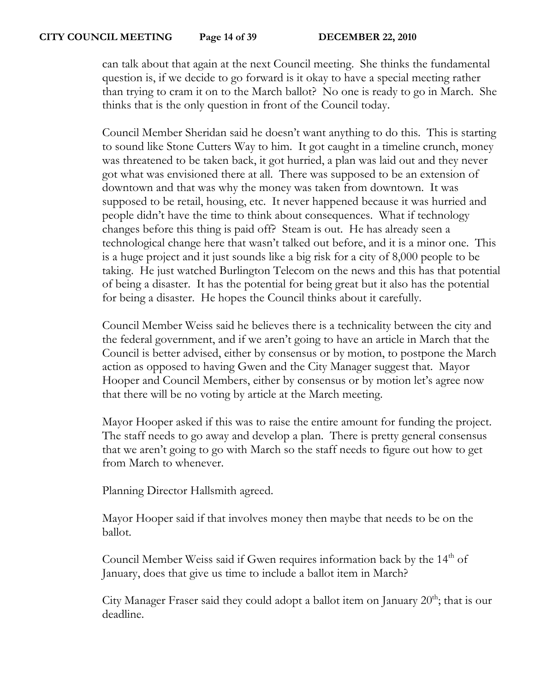can talk about that again at the next Council meeting. She thinks the fundamental question is, if we decide to go forward is it okay to have a special meeting rather than trying to cram it on to the March ballot? No one is ready to go in March. She thinks that is the only question in front of the Council today.

Council Member Sheridan said he doesn't want anything to do this. This is starting to sound like Stone Cutters Way to him. It got caught in a timeline crunch, money was threatened to be taken back, it got hurried, a plan was laid out and they never got what was envisioned there at all. There was supposed to be an extension of downtown and that was why the money was taken from downtown. It was supposed to be retail, housing, etc. It never happened because it was hurried and people didn't have the time to think about consequences. What if technology changes before this thing is paid off? Steam is out. He has already seen a technological change here that wasn't talked out before, and it is a minor one. This is a huge project and it just sounds like a big risk for a city of 8,000 people to be taking. He just watched Burlington Telecom on the news and this has that potential of being a disaster. It has the potential for being great but it also has the potential for being a disaster. He hopes the Council thinks about it carefully.

Council Member Weiss said he believes there is a technicality between the city and the federal government, and if we aren't going to have an article in March that the Council is better advised, either by consensus or by motion, to postpone the March action as opposed to having Gwen and the City Manager suggest that. Mayor Hooper and Council Members, either by consensus or by motion let's agree now that there will be no voting by article at the March meeting.

Mayor Hooper asked if this was to raise the entire amount for funding the project. The staff needs to go away and develop a plan. There is pretty general consensus that we aren't going to go with March so the staff needs to figure out how to get from March to whenever.

Planning Director Hallsmith agreed.

Mayor Hooper said if that involves money then maybe that needs to be on the ballot.

Council Member Weiss said if Gwen requires information back by the 14<sup>th</sup> of January, does that give us time to include a ballot item in March?

City Manager Fraser said they could adopt a ballot item on January  $20<sup>th</sup>$ ; that is our deadline.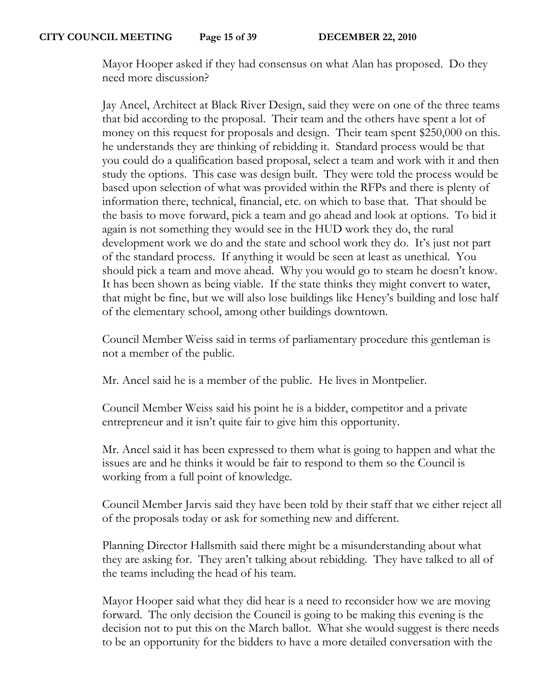Mayor Hooper asked if they had consensus on what Alan has proposed. Do they need more discussion?

Jay Ancel, Architect at Black River Design, said they were on one of the three teams that bid according to the proposal. Their team and the others have spent a lot of money on this request for proposals and design. Their team spent \$250,000 on this. he understands they are thinking of rebidding it. Standard process would be that you could do a qualification based proposal, select a team and work with it and then study the options. This case was design built. They were told the process would be based upon selection of what was provided within the RFPs and there is plenty of information there, technical, financial, etc. on which to base that. That should be the basis to move forward, pick a team and go ahead and look at options. To bid it again is not something they would see in the HUD work they do, the rural development work we do and the state and school work they do. It's just not part of the standard process. If anything it would be seen at least as unethical. You should pick a team and move ahead. Why you would go to steam he doesn't know. It has been shown as being viable. If the state thinks they might convert to water, that might be fine, but we will also lose buildings like Heney's building and lose half of the elementary school, among other buildings downtown.

Council Member Weiss said in terms of parliamentary procedure this gentleman is not a member of the public.

Mr. Ancel said he is a member of the public. He lives in Montpelier.

Council Member Weiss said his point he is a bidder, competitor and a private entrepreneur and it isn't quite fair to give him this opportunity.

Mr. Ancel said it has been expressed to them what is going to happen and what the issues are and he thinks it would be fair to respond to them so the Council is working from a full point of knowledge.

Council Member Jarvis said they have been told by their staff that we either reject all of the proposals today or ask for something new and different.

Planning Director Hallsmith said there might be a misunderstanding about what they are asking for. They aren't talking about rebidding. They have talked to all of the teams including the head of his team.

Mayor Hooper said what they did hear is a need to reconsider how we are moving forward. The only decision the Council is going to be making this evening is the decision not to put this on the March ballot. What she would suggest is there needs to be an opportunity for the bidders to have a more detailed conversation with the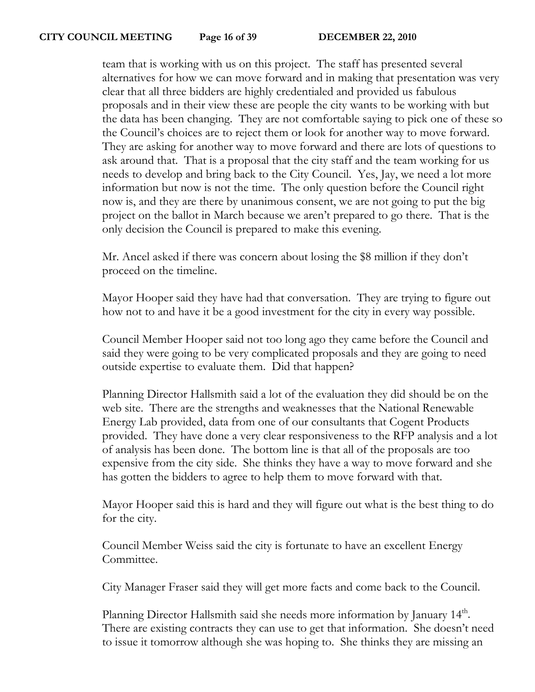team that is working with us on this project. The staff has presented several alternatives for how we can move forward and in making that presentation was very clear that all three bidders are highly credentialed and provided us fabulous proposals and in their view these are people the city wants to be working with but the data has been changing. They are not comfortable saying to pick one of these so the Council's choices are to reject them or look for another way to move forward. They are asking for another way to move forward and there are lots of questions to ask around that. That is a proposal that the city staff and the team working for us needs to develop and bring back to the City Council. Yes, Jay, we need a lot more information but now is not the time. The only question before the Council right now is, and they are there by unanimous consent, we are not going to put the big project on the ballot in March because we aren't prepared to go there. That is the only decision the Council is prepared to make this evening.

Mr. Ancel asked if there was concern about losing the \$8 million if they don't proceed on the timeline.

Mayor Hooper said they have had that conversation. They are trying to figure out how not to and have it be a good investment for the city in every way possible.

Council Member Hooper said not too long ago they came before the Council and said they were going to be very complicated proposals and they are going to need outside expertise to evaluate them. Did that happen?

Planning Director Hallsmith said a lot of the evaluation they did should be on the web site. There are the strengths and weaknesses that the National Renewable Energy Lab provided, data from one of our consultants that Cogent Products provided. They have done a very clear responsiveness to the RFP analysis and a lot of analysis has been done. The bottom line is that all of the proposals are too expensive from the city side. She thinks they have a way to move forward and she has gotten the bidders to agree to help them to move forward with that.

Mayor Hooper said this is hard and they will figure out what is the best thing to do for the city.

Council Member Weiss said the city is fortunate to have an excellent Energy Committee.

City Manager Fraser said they will get more facts and come back to the Council.

Planning Director Hallsmith said she needs more information by January 14<sup>th</sup>. There are existing contracts they can use to get that information. She doesn't need to issue it tomorrow although she was hoping to. She thinks they are missing an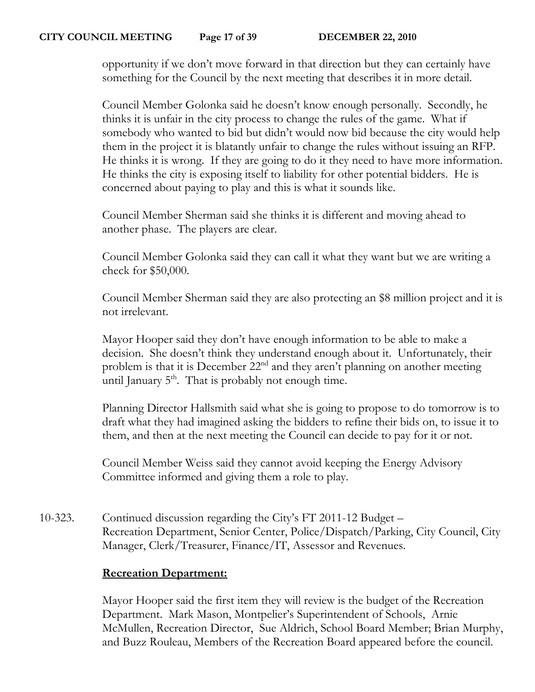opportunity if we don't move forward in that direction but they can certainly have something for the Council by the next meeting that describes it in more detail.

Council Member Golonka said he doesn't know enough personally. Secondly, he thinks it is unfair in the city process to change the rules of the game. What if somebody who wanted to bid but didn't would now bid because the city would help them in the project it is blatantly unfair to change the rules without issuing an RFP. He thinks it is wrong. If they are going to do it they need to have more information. He thinks the city is exposing itself to liability for other potential bidders. He is concerned about paying to play and this is what it sounds like.

Council Member Sherman said she thinks it is different and moving ahead to another phase. The players are clear.

Council Member Golonka said they can call it what they want but we are writing a check for \$50,000.

Council Member Sherman said they are also protecting an \$8 million project and it is not irrelevant.

Mayor Hooper said they don't have enough information to be able to make a decision. She doesn't think they understand enough about it. Unfortunately, their problem is that it is December 22nd and they aren't planning on another meeting until January  $5<sup>th</sup>$ . That is probably not enough time.

Planning Director Hallsmith said what she is going to propose to do tomorrow is to draft what they had imagined asking the bidders to refine their bids on, to issue it to them, and then at the next meeting the Council can decide to pay for it or not.

Council Member Weiss said they cannot avoid keeping the Energy Advisory Committee informed and giving them a role to play.

10-323. Continued discussion regarding the City's FT 2011-12 Budget – Recreation Department, Senior Center, Police/Dispatch/Parking, City Council, City Manager, Clerk/Treasurer, Finance/IT, Assessor and Revenues.

## **Recreation Department:**

Mayor Hooper said the first item they will review is the budget of the Recreation Department. Mark Mason, Montpelier's Superintendent of Schools, Arnie McMullen, Recreation Director, Sue Aldrich, School Board Member; Brian Murphy, and Buzz Rouleau, Members of the Recreation Board appeared before the council.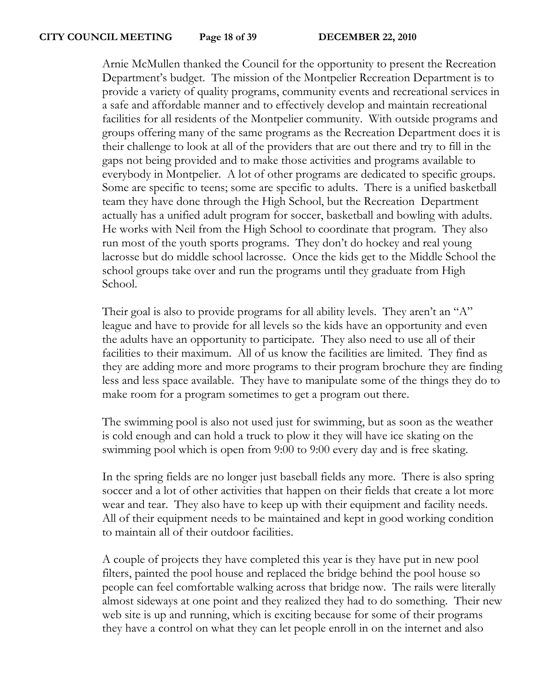Arnie McMullen thanked the Council for the opportunity to present the Recreation Department's budget. The mission of the Montpelier Recreation Department is to provide a variety of quality programs, community events and recreational services in a safe and affordable manner and to effectively develop and maintain recreational facilities for all residents of the Montpelier community. With outside programs and groups offering many of the same programs as the Recreation Department does it is their challenge to look at all of the providers that are out there and try to fill in the gaps not being provided and to make those activities and programs available to everybody in Montpelier. A lot of other programs are dedicated to specific groups. Some are specific to teens; some are specific to adults. There is a unified basketball team they have done through the High School, but the Recreation Department actually has a unified adult program for soccer, basketball and bowling with adults. He works with Neil from the High School to coordinate that program. They also run most of the youth sports programs. They don't do hockey and real young lacrosse but do middle school lacrosse. Once the kids get to the Middle School the school groups take over and run the programs until they graduate from High School.

Their goal is also to provide programs for all ability levels. They aren't an "A" league and have to provide for all levels so the kids have an opportunity and even the adults have an opportunity to participate. They also need to use all of their facilities to their maximum. All of us know the facilities are limited. They find as they are adding more and more programs to their program brochure they are finding less and less space available. They have to manipulate some of the things they do to make room for a program sometimes to get a program out there.

The swimming pool is also not used just for swimming, but as soon as the weather is cold enough and can hold a truck to plow it they will have ice skating on the swimming pool which is open from 9:00 to 9:00 every day and is free skating.

In the spring fields are no longer just baseball fields any more. There is also spring soccer and a lot of other activities that happen on their fields that create a lot more wear and tear. They also have to keep up with their equipment and facility needs. All of their equipment needs to be maintained and kept in good working condition to maintain all of their outdoor facilities.

A couple of projects they have completed this year is they have put in new pool filters, painted the pool house and replaced the bridge behind the pool house so people can feel comfortable walking across that bridge now. The rails were literally almost sideways at one point and they realized they had to do something. Their new web site is up and running, which is exciting because for some of their programs they have a control on what they can let people enroll in on the internet and also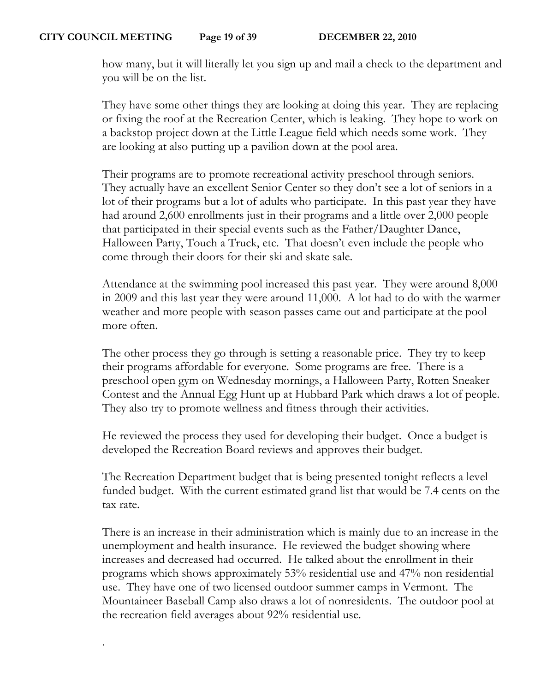.

how many, but it will literally let you sign up and mail a check to the department and you will be on the list.

They have some other things they are looking at doing this year. They are replacing or fixing the roof at the Recreation Center, which is leaking. They hope to work on a backstop project down at the Little League field which needs some work. They are looking at also putting up a pavilion down at the pool area.

Their programs are to promote recreational activity preschool through seniors. They actually have an excellent Senior Center so they don't see a lot of seniors in a lot of their programs but a lot of adults who participate. In this past year they have had around 2,600 enrollments just in their programs and a little over 2,000 people that participated in their special events such as the Father/Daughter Dance, Halloween Party, Touch a Truck, etc. That doesn't even include the people who come through their doors for their ski and skate sale.

Attendance at the swimming pool increased this past year. They were around 8,000 in 2009 and this last year they were around 11,000. A lot had to do with the warmer weather and more people with season passes came out and participate at the pool more often.

The other process they go through is setting a reasonable price. They try to keep their programs affordable for everyone. Some programs are free. There is a preschool open gym on Wednesday mornings, a Halloween Party, Rotten Sneaker Contest and the Annual Egg Hunt up at Hubbard Park which draws a lot of people. They also try to promote wellness and fitness through their activities.

He reviewed the process they used for developing their budget. Once a budget is developed the Recreation Board reviews and approves their budget.

The Recreation Department budget that is being presented tonight reflects a level funded budget. With the current estimated grand list that would be 7.4 cents on the tax rate.

There is an increase in their administration which is mainly due to an increase in the unemployment and health insurance. He reviewed the budget showing where increases and decreased had occurred. He talked about the enrollment in their programs which shows approximately 53% residential use and 47% non residential use. They have one of two licensed outdoor summer camps in Vermont. The Mountaineer Baseball Camp also draws a lot of nonresidents. The outdoor pool at the recreation field averages about 92% residential use.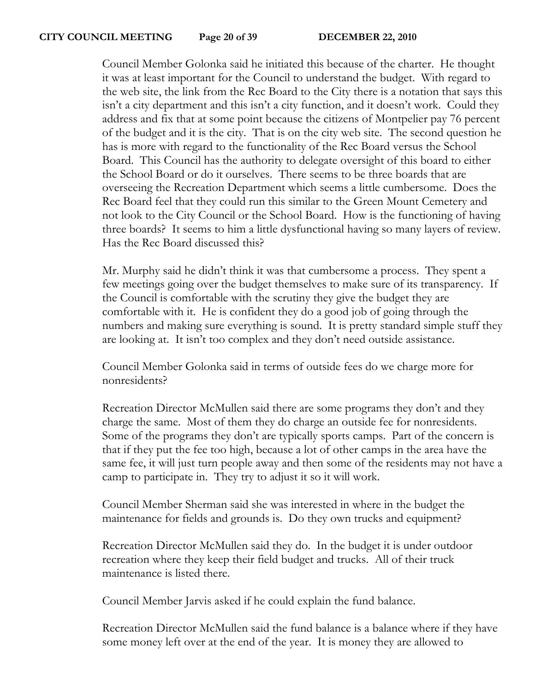Council Member Golonka said he initiated this because of the charter. He thought it was at least important for the Council to understand the budget. With regard to the web site, the link from the Rec Board to the City there is a notation that says this isn't a city department and this isn't a city function, and it doesn't work. Could they address and fix that at some point because the citizens of Montpelier pay 76 percent of the budget and it is the city. That is on the city web site. The second question he has is more with regard to the functionality of the Rec Board versus the School Board. This Council has the authority to delegate oversight of this board to either the School Board or do it ourselves. There seems to be three boards that are overseeing the Recreation Department which seems a little cumbersome. Does the Rec Board feel that they could run this similar to the Green Mount Cemetery and not look to the City Council or the School Board. How is the functioning of having three boards? It seems to him a little dysfunctional having so many layers of review. Has the Rec Board discussed this?

Mr. Murphy said he didn't think it was that cumbersome a process. They spent a few meetings going over the budget themselves to make sure of its transparency. If the Council is comfortable with the scrutiny they give the budget they are comfortable with it. He is confident they do a good job of going through the numbers and making sure everything is sound. It is pretty standard simple stuff they are looking at. It isn't too complex and they don't need outside assistance.

Council Member Golonka said in terms of outside fees do we charge more for nonresidents?

Recreation Director McMullen said there are some programs they don't and they charge the same. Most of them they do charge an outside fee for nonresidents. Some of the programs they don't are typically sports camps. Part of the concern is that if they put the fee too high, because a lot of other camps in the area have the same fee, it will just turn people away and then some of the residents may not have a camp to participate in. They try to adjust it so it will work.

Council Member Sherman said she was interested in where in the budget the maintenance for fields and grounds is. Do they own trucks and equipment?

Recreation Director McMullen said they do. In the budget it is under outdoor recreation where they keep their field budget and trucks. All of their truck maintenance is listed there.

Council Member Jarvis asked if he could explain the fund balance.

Recreation Director McMullen said the fund balance is a balance where if they have some money left over at the end of the year. It is money they are allowed to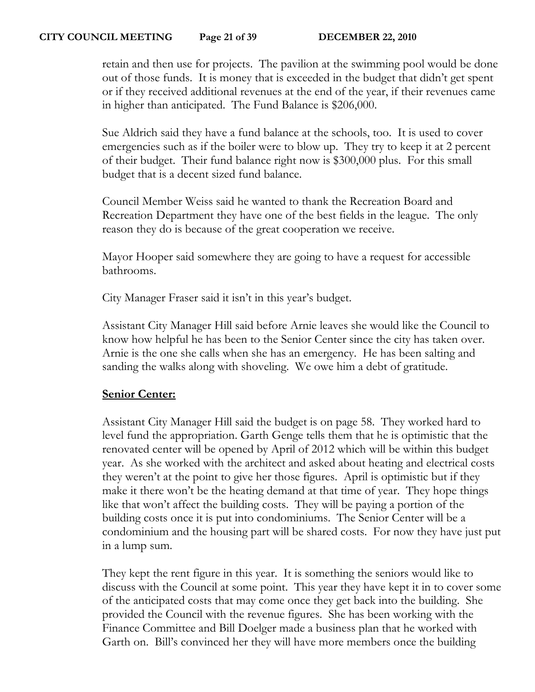retain and then use for projects. The pavilion at the swimming pool would be done out of those funds. It is money that is exceeded in the budget that didn't get spent or if they received additional revenues at the end of the year, if their revenues came in higher than anticipated. The Fund Balance is \$206,000.

Sue Aldrich said they have a fund balance at the schools, too. It is used to cover emergencies such as if the boiler were to blow up. They try to keep it at 2 percent of their budget. Their fund balance right now is \$300,000 plus. For this small budget that is a decent sized fund balance.

Council Member Weiss said he wanted to thank the Recreation Board and Recreation Department they have one of the best fields in the league. The only reason they do is because of the great cooperation we receive.

Mayor Hooper said somewhere they are going to have a request for accessible bathrooms.

City Manager Fraser said it isn't in this year's budget.

Assistant City Manager Hill said before Arnie leaves she would like the Council to know how helpful he has been to the Senior Center since the city has taken over. Arnie is the one she calls when she has an emergency. He has been salting and sanding the walks along with shoveling. We owe him a debt of gratitude.

## **Senior Center:**

Assistant City Manager Hill said the budget is on page 58. They worked hard to level fund the appropriation. Garth Genge tells them that he is optimistic that the renovated center will be opened by April of 2012 which will be within this budget year. As she worked with the architect and asked about heating and electrical costs they weren't at the point to give her those figures. April is optimistic but if they make it there won't be the heating demand at that time of year. They hope things like that won't affect the building costs. They will be paying a portion of the building costs once it is put into condominiums. The Senior Center will be a condominium and the housing part will be shared costs. For now they have just put in a lump sum.

They kept the rent figure in this year. It is something the seniors would like to discuss with the Council at some point. This year they have kept it in to cover some of the anticipated costs that may come once they get back into the building. She provided the Council with the revenue figures. She has been working with the Finance Committee and Bill Doelger made a business plan that he worked with Garth on. Bill's convinced her they will have more members once the building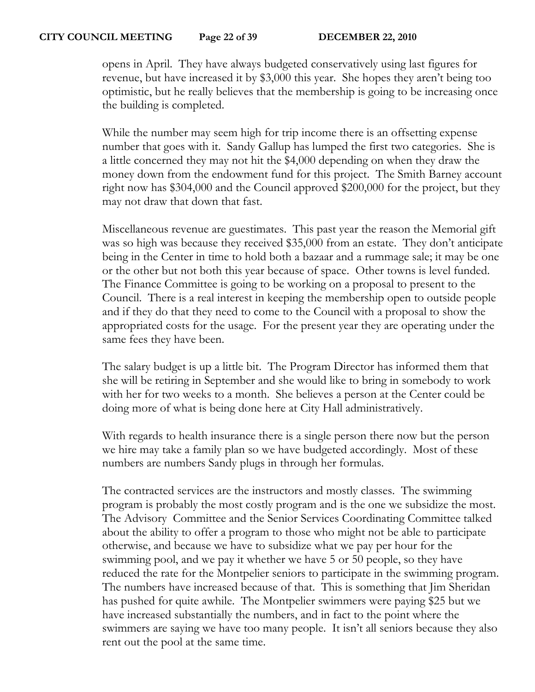opens in April. They have always budgeted conservatively using last figures for revenue, but have increased it by \$3,000 this year. She hopes they aren't being too optimistic, but he really believes that the membership is going to be increasing once the building is completed.

While the number may seem high for trip income there is an offsetting expense number that goes with it. Sandy Gallup has lumped the first two categories. She is a little concerned they may not hit the \$4,000 depending on when they draw the money down from the endowment fund for this project. The Smith Barney account right now has \$304,000 and the Council approved \$200,000 for the project, but they may not draw that down that fast.

Miscellaneous revenue are guestimates. This past year the reason the Memorial gift was so high was because they received \$35,000 from an estate. They don't anticipate being in the Center in time to hold both a bazaar and a rummage sale; it may be one or the other but not both this year because of space. Other towns is level funded. The Finance Committee is going to be working on a proposal to present to the Council. There is a real interest in keeping the membership open to outside people and if they do that they need to come to the Council with a proposal to show the appropriated costs for the usage. For the present year they are operating under the same fees they have been.

The salary budget is up a little bit. The Program Director has informed them that she will be retiring in September and she would like to bring in somebody to work with her for two weeks to a month. She believes a person at the Center could be doing more of what is being done here at City Hall administratively.

With regards to health insurance there is a single person there now but the person we hire may take a family plan so we have budgeted accordingly. Most of these numbers are numbers Sandy plugs in through her formulas.

The contracted services are the instructors and mostly classes. The swimming program is probably the most costly program and is the one we subsidize the most. The Advisory Committee and the Senior Services Coordinating Committee talked about the ability to offer a program to those who might not be able to participate otherwise, and because we have to subsidize what we pay per hour for the swimming pool, and we pay it whether we have 5 or 50 people, so they have reduced the rate for the Montpelier seniors to participate in the swimming program. The numbers have increased because of that. This is something that Jim Sheridan has pushed for quite awhile. The Montpelier swimmers were paying \$25 but we have increased substantially the numbers, and in fact to the point where the swimmers are saying we have too many people. It isn't all seniors because they also rent out the pool at the same time.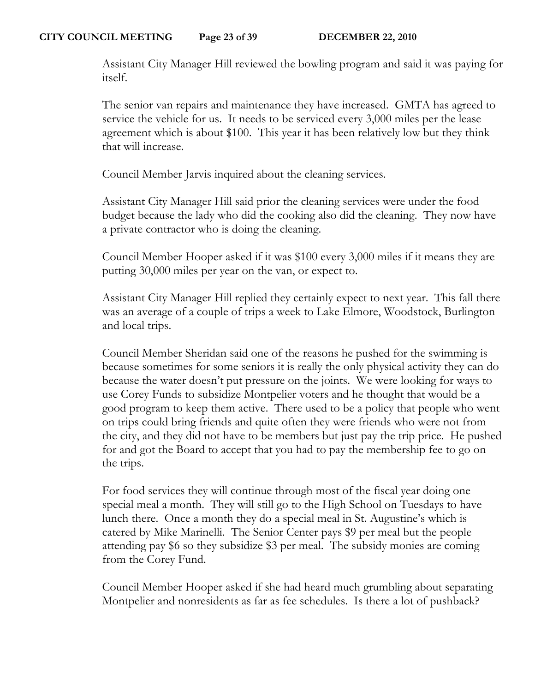Assistant City Manager Hill reviewed the bowling program and said it was paying for itself.

The senior van repairs and maintenance they have increased. GMTA has agreed to service the vehicle for us. It needs to be serviced every 3,000 miles per the lease agreement which is about \$100. This year it has been relatively low but they think that will increase.

Council Member Jarvis inquired about the cleaning services.

Assistant City Manager Hill said prior the cleaning services were under the food budget because the lady who did the cooking also did the cleaning. They now have a private contractor who is doing the cleaning.

Council Member Hooper asked if it was \$100 every 3,000 miles if it means they are putting 30,000 miles per year on the van, or expect to.

Assistant City Manager Hill replied they certainly expect to next year. This fall there was an average of a couple of trips a week to Lake Elmore, Woodstock, Burlington and local trips.

Council Member Sheridan said one of the reasons he pushed for the swimming is because sometimes for some seniors it is really the only physical activity they can do because the water doesn't put pressure on the joints. We were looking for ways to use Corey Funds to subsidize Montpelier voters and he thought that would be a good program to keep them active. There used to be a policy that people who went on trips could bring friends and quite often they were friends who were not from the city, and they did not have to be members but just pay the trip price. He pushed for and got the Board to accept that you had to pay the membership fee to go on the trips.

For food services they will continue through most of the fiscal year doing one special meal a month. They will still go to the High School on Tuesdays to have lunch there. Once a month they do a special meal in St. Augustine's which is catered by Mike Marinelli. The Senior Center pays \$9 per meal but the people attending pay \$6 so they subsidize \$3 per meal. The subsidy monies are coming from the Corey Fund.

Council Member Hooper asked if she had heard much grumbling about separating Montpelier and nonresidents as far as fee schedules. Is there a lot of pushback?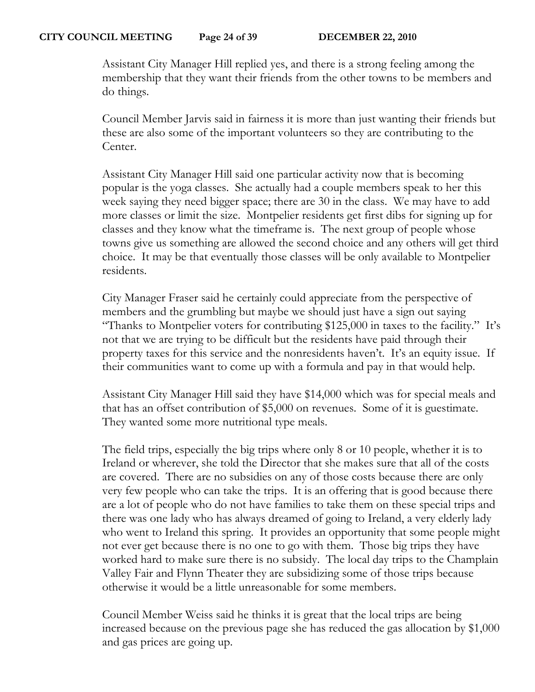Assistant City Manager Hill replied yes, and there is a strong feeling among the membership that they want their friends from the other towns to be members and do things.

Council Member Jarvis said in fairness it is more than just wanting their friends but these are also some of the important volunteers so they are contributing to the Center.

Assistant City Manager Hill said one particular activity now that is becoming popular is the yoga classes. She actually had a couple members speak to her this week saying they need bigger space; there are 30 in the class. We may have to add more classes or limit the size. Montpelier residents get first dibs for signing up for classes and they know what the timeframe is. The next group of people whose towns give us something are allowed the second choice and any others will get third choice. It may be that eventually those classes will be only available to Montpelier residents.

City Manager Fraser said he certainly could appreciate from the perspective of members and the grumbling but maybe we should just have a sign out saying "Thanks to Montpelier voters for contributing \$125,000 in taxes to the facility." It's not that we are trying to be difficult but the residents have paid through their property taxes for this service and the nonresidents haven't. It's an equity issue. If their communities want to come up with a formula and pay in that would help.

Assistant City Manager Hill said they have \$14,000 which was for special meals and that has an offset contribution of \$5,000 on revenues. Some of it is guestimate. They wanted some more nutritional type meals.

The field trips, especially the big trips where only 8 or 10 people, whether it is to Ireland or wherever, she told the Director that she makes sure that all of the costs are covered. There are no subsidies on any of those costs because there are only very few people who can take the trips. It is an offering that is good because there are a lot of people who do not have families to take them on these special trips and there was one lady who has always dreamed of going to Ireland, a very elderly lady who went to Ireland this spring. It provides an opportunity that some people might not ever get because there is no one to go with them. Those big trips they have worked hard to make sure there is no subsidy. The local day trips to the Champlain Valley Fair and Flynn Theater they are subsidizing some of those trips because otherwise it would be a little unreasonable for some members.

Council Member Weiss said he thinks it is great that the local trips are being increased because on the previous page she has reduced the gas allocation by \$1,000 and gas prices are going up.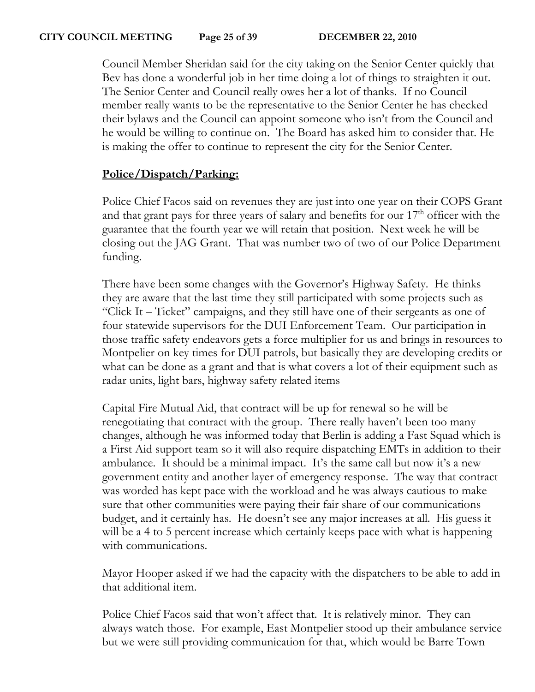Council Member Sheridan said for the city taking on the Senior Center quickly that Bev has done a wonderful job in her time doing a lot of things to straighten it out. The Senior Center and Council really owes her a lot of thanks. If no Council member really wants to be the representative to the Senior Center he has checked their bylaws and the Council can appoint someone who isn't from the Council and he would be willing to continue on. The Board has asked him to consider that. He is making the offer to continue to represent the city for the Senior Center.

# **Police/Dispatch/Parking:**

Police Chief Facos said on revenues they are just into one year on their COPS Grant and that grant pays for three years of salary and benefits for our  $17<sup>th</sup>$  officer with the guarantee that the fourth year we will retain that position. Next week he will be closing out the JAG Grant. That was number two of two of our Police Department funding.

There have been some changes with the Governor's Highway Safety. He thinks they are aware that the last time they still participated with some projects such as "Click It – Ticket" campaigns, and they still have one of their sergeants as one of four statewide supervisors for the DUI Enforcement Team. Our participation in those traffic safety endeavors gets a force multiplier for us and brings in resources to Montpelier on key times for DUI patrols, but basically they are developing credits or what can be done as a grant and that is what covers a lot of their equipment such as radar units, light bars, highway safety related items

Capital Fire Mutual Aid, that contract will be up for renewal so he will be renegotiating that contract with the group. There really haven't been too many changes, although he was informed today that Berlin is adding a Fast Squad which is a First Aid support team so it will also require dispatching EMTs in addition to their ambulance. It should be a minimal impact. It's the same call but now it's a new government entity and another layer of emergency response. The way that contract was worded has kept pace with the workload and he was always cautious to make sure that other communities were paying their fair share of our communications budget, and it certainly has. He doesn't see any major increases at all. His guess it will be a 4 to 5 percent increase which certainly keeps pace with what is happening with communications.

Mayor Hooper asked if we had the capacity with the dispatchers to be able to add in that additional item.

Police Chief Facos said that won't affect that. It is relatively minor. They can always watch those. For example, East Montpelier stood up their ambulance service but we were still providing communication for that, which would be Barre Town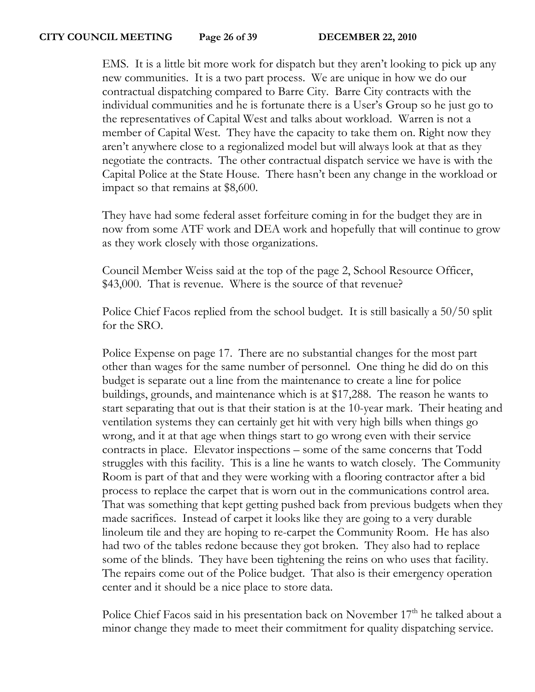EMS. It is a little bit more work for dispatch but they aren't looking to pick up any new communities. It is a two part process. We are unique in how we do our contractual dispatching compared to Barre City. Barre City contracts with the individual communities and he is fortunate there is a User's Group so he just go to the representatives of Capital West and talks about workload. Warren is not a member of Capital West. They have the capacity to take them on. Right now they aren't anywhere close to a regionalized model but will always look at that as they negotiate the contracts. The other contractual dispatch service we have is with the Capital Police at the State House. There hasn't been any change in the workload or impact so that remains at \$8,600.

They have had some federal asset forfeiture coming in for the budget they are in now from some ATF work and DEA work and hopefully that will continue to grow as they work closely with those organizations.

Council Member Weiss said at the top of the page 2, School Resource Officer, \$43,000. That is revenue. Where is the source of that revenue?

Police Chief Facos replied from the school budget. It is still basically a 50/50 split for the SRO.

Police Expense on page 17. There are no substantial changes for the most part other than wages for the same number of personnel. One thing he did do on this budget is separate out a line from the maintenance to create a line for police buildings, grounds, and maintenance which is at \$17,288. The reason he wants to start separating that out is that their station is at the 10-year mark. Their heating and ventilation systems they can certainly get hit with very high bills when things go wrong, and it at that age when things start to go wrong even with their service contracts in place. Elevator inspections – some of the same concerns that Todd struggles with this facility. This is a line he wants to watch closely. The Community Room is part of that and they were working with a flooring contractor after a bid process to replace the carpet that is worn out in the communications control area. That was something that kept getting pushed back from previous budgets when they made sacrifices. Instead of carpet it looks like they are going to a very durable linoleum tile and they are hoping to re-carpet the Community Room. He has also had two of the tables redone because they got broken. They also had to replace some of the blinds. They have been tightening the reins on who uses that facility. The repairs come out of the Police budget. That also is their emergency operation center and it should be a nice place to store data.

Police Chief Facos said in his presentation back on November 17<sup>th</sup> he talked about a minor change they made to meet their commitment for quality dispatching service.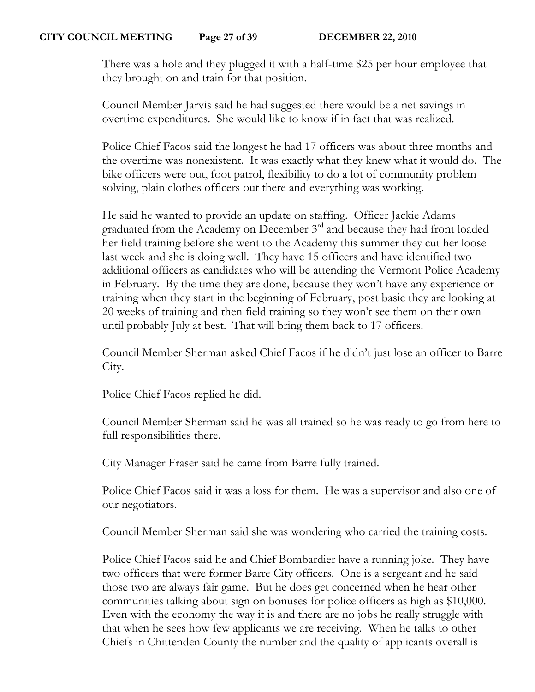There was a hole and they plugged it with a half-time \$25 per hour employee that they brought on and train for that position.

Council Member Jarvis said he had suggested there would be a net savings in overtime expenditures. She would like to know if in fact that was realized.

Police Chief Facos said the longest he had 17 officers was about three months and the overtime was nonexistent. It was exactly what they knew what it would do. The bike officers were out, foot patrol, flexibility to do a lot of community problem solving, plain clothes officers out there and everything was working.

He said he wanted to provide an update on staffing. Officer Jackie Adams graduated from the Academy on December 3rd and because they had front loaded her field training before she went to the Academy this summer they cut her loose last week and she is doing well. They have 15 officers and have identified two additional officers as candidates who will be attending the Vermont Police Academy in February. By the time they are done, because they won't have any experience or training when they start in the beginning of February, post basic they are looking at 20 weeks of training and then field training so they won't see them on their own until probably July at best. That will bring them back to 17 officers.

Council Member Sherman asked Chief Facos if he didn't just lose an officer to Barre City.

Police Chief Facos replied he did.

Council Member Sherman said he was all trained so he was ready to go from here to full responsibilities there.

City Manager Fraser said he came from Barre fully trained.

Police Chief Facos said it was a loss for them. He was a supervisor and also one of our negotiators.

Council Member Sherman said she was wondering who carried the training costs.

Police Chief Facos said he and Chief Bombardier have a running joke. They have two officers that were former Barre City officers. One is a sergeant and he said those two are always fair game. But he does get concerned when he hear other communities talking about sign on bonuses for police officers as high as \$10,000. Even with the economy the way it is and there are no jobs he really struggle with that when he sees how few applicants we are receiving. When he talks to other Chiefs in Chittenden County the number and the quality of applicants overall is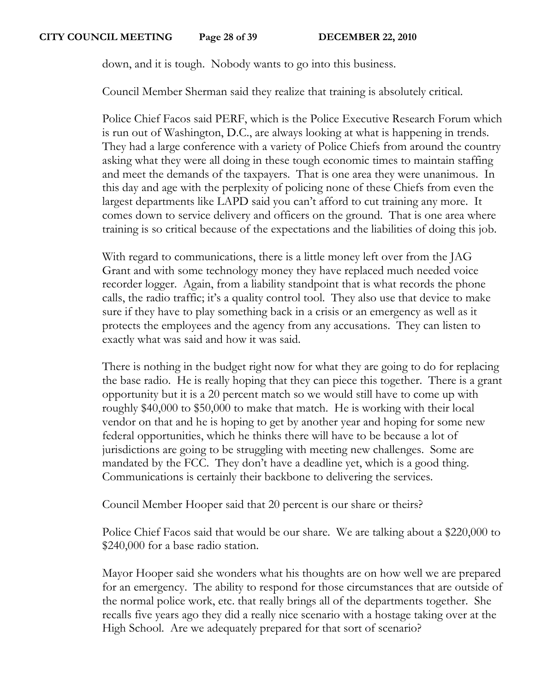down, and it is tough. Nobody wants to go into this business.

Council Member Sherman said they realize that training is absolutely critical.

Police Chief Facos said PERF, which is the Police Executive Research Forum which is run out of Washington, D.C., are always looking at what is happening in trends. They had a large conference with a variety of Police Chiefs from around the country asking what they were all doing in these tough economic times to maintain staffing and meet the demands of the taxpayers. That is one area they were unanimous. In this day and age with the perplexity of policing none of these Chiefs from even the largest departments like LAPD said you can't afford to cut training any more. It comes down to service delivery and officers on the ground. That is one area where training is so critical because of the expectations and the liabilities of doing this job.

With regard to communications, there is a little money left over from the JAG Grant and with some technology money they have replaced much needed voice recorder logger. Again, from a liability standpoint that is what records the phone calls, the radio traffic; it's a quality control tool. They also use that device to make sure if they have to play something back in a crisis or an emergency as well as it protects the employees and the agency from any accusations. They can listen to exactly what was said and how it was said.

There is nothing in the budget right now for what they are going to do for replacing the base radio. He is really hoping that they can piece this together. There is a grant opportunity but it is a 20 percent match so we would still have to come up with roughly \$40,000 to \$50,000 to make that match. He is working with their local vendor on that and he is hoping to get by another year and hoping for some new federal opportunities, which he thinks there will have to be because a lot of jurisdictions are going to be struggling with meeting new challenges. Some are mandated by the FCC. They don't have a deadline yet, which is a good thing. Communications is certainly their backbone to delivering the services.

Council Member Hooper said that 20 percent is our share or theirs?

Police Chief Facos said that would be our share. We are talking about a \$220,000 to \$240,000 for a base radio station.

Mayor Hooper said she wonders what his thoughts are on how well we are prepared for an emergency. The ability to respond for those circumstances that are outside of the normal police work, etc. that really brings all of the departments together. She recalls five years ago they did a really nice scenario with a hostage taking over at the High School. Are we adequately prepared for that sort of scenario?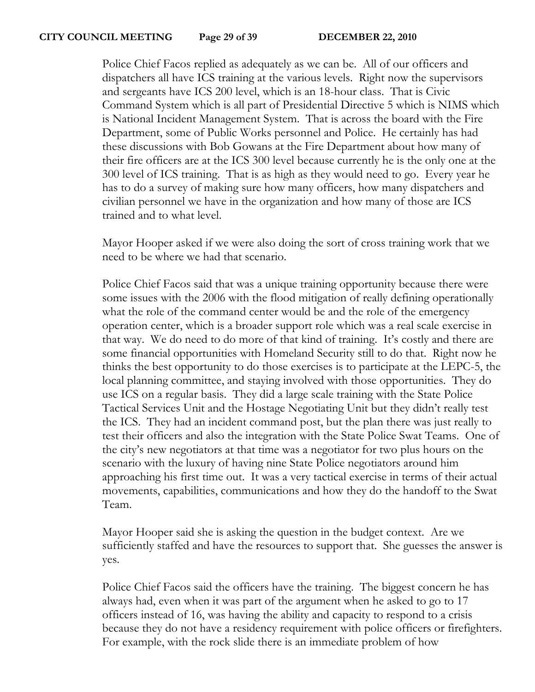Police Chief Facos replied as adequately as we can be. All of our officers and dispatchers all have ICS training at the various levels. Right now the supervisors and sergeants have ICS 200 level, which is an 18-hour class. That is Civic Command System which is all part of Presidential Directive 5 which is NIMS which is National Incident Management System. That is across the board with the Fire Department, some of Public Works personnel and Police. He certainly has had these discussions with Bob Gowans at the Fire Department about how many of their fire officers are at the ICS 300 level because currently he is the only one at the 300 level of ICS training. That is as high as they would need to go. Every year he has to do a survey of making sure how many officers, how many dispatchers and civilian personnel we have in the organization and how many of those are ICS trained and to what level.

Mayor Hooper asked if we were also doing the sort of cross training work that we need to be where we had that scenario.

Police Chief Facos said that was a unique training opportunity because there were some issues with the 2006 with the flood mitigation of really defining operationally what the role of the command center would be and the role of the emergency operation center, which is a broader support role which was a real scale exercise in that way. We do need to do more of that kind of training. It's costly and there are some financial opportunities with Homeland Security still to do that. Right now he thinks the best opportunity to do those exercises is to participate at the LEPC-5, the local planning committee, and staying involved with those opportunities. They do use ICS on a regular basis. They did a large scale training with the State Police Tactical Services Unit and the Hostage Negotiating Unit but they didn't really test the ICS. They had an incident command post, but the plan there was just really to test their officers and also the integration with the State Police Swat Teams. One of the city's new negotiators at that time was a negotiator for two plus hours on the scenario with the luxury of having nine State Police negotiators around him approaching his first time out. It was a very tactical exercise in terms of their actual movements, capabilities, communications and how they do the handoff to the Swat Team.

Mayor Hooper said she is asking the question in the budget context. Are we sufficiently staffed and have the resources to support that. She guesses the answer is yes.

Police Chief Facos said the officers have the training. The biggest concern he has always had, even when it was part of the argument when he asked to go to 17 officers instead of 16, was having the ability and capacity to respond to a crisis because they do not have a residency requirement with police officers or firefighters. For example, with the rock slide there is an immediate problem of how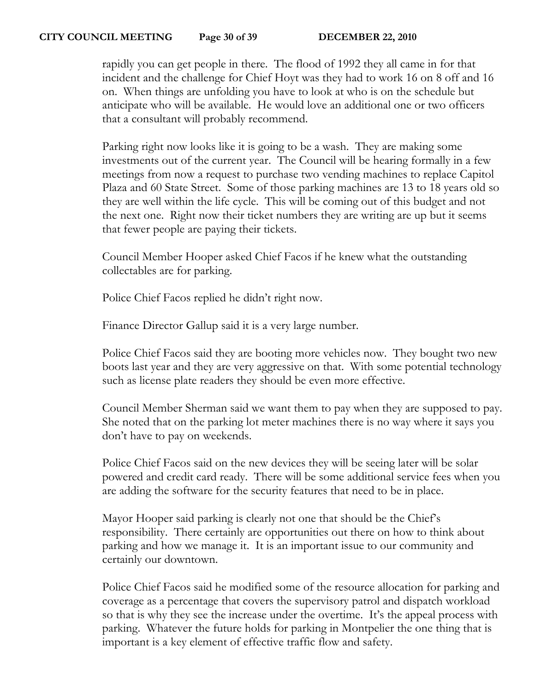rapidly you can get people in there. The flood of 1992 they all came in for that incident and the challenge for Chief Hoyt was they had to work 16 on 8 off and 16 on. When things are unfolding you have to look at who is on the schedule but anticipate who will be available. He would love an additional one or two officers that a consultant will probably recommend.

Parking right now looks like it is going to be a wash. They are making some investments out of the current year. The Council will be hearing formally in a few meetings from now a request to purchase two vending machines to replace Capitol Plaza and 60 State Street. Some of those parking machines are 13 to 18 years old so they are well within the life cycle. This will be coming out of this budget and not the next one. Right now their ticket numbers they are writing are up but it seems that fewer people are paying their tickets.

Council Member Hooper asked Chief Facos if he knew what the outstanding collectables are for parking.

Police Chief Facos replied he didn't right now.

Finance Director Gallup said it is a very large number.

Police Chief Facos said they are booting more vehicles now. They bought two new boots last year and they are very aggressive on that. With some potential technology such as license plate readers they should be even more effective.

Council Member Sherman said we want them to pay when they are supposed to pay. She noted that on the parking lot meter machines there is no way where it says you don't have to pay on weekends.

Police Chief Facos said on the new devices they will be seeing later will be solar powered and credit card ready. There will be some additional service fees when you are adding the software for the security features that need to be in place.

Mayor Hooper said parking is clearly not one that should be the Chief's responsibility. There certainly are opportunities out there on how to think about parking and how we manage it. It is an important issue to our community and certainly our downtown.

Police Chief Facos said he modified some of the resource allocation for parking and coverage as a percentage that covers the supervisory patrol and dispatch workload so that is why they see the increase under the overtime. It's the appeal process with parking. Whatever the future holds for parking in Montpelier the one thing that is important is a key element of effective traffic flow and safety.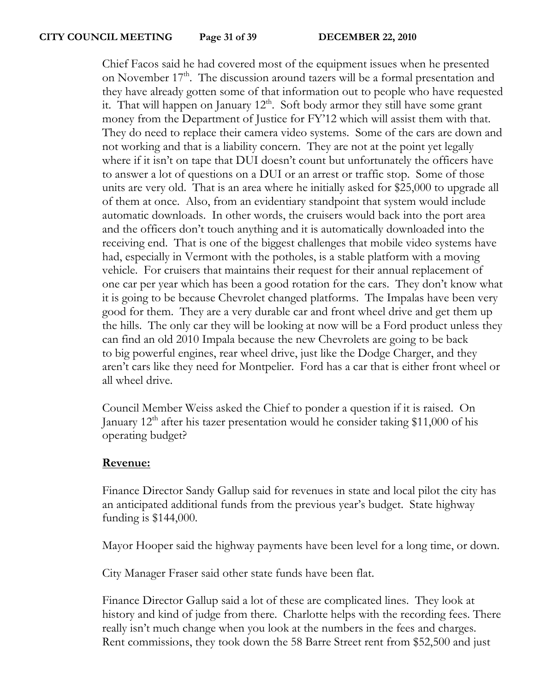Chief Facos said he had covered most of the equipment issues when he presented on November  $17<sup>th</sup>$ . The discussion around tazers will be a formal presentation and they have already gotten some of that information out to people who have requested it. That will happen on January  $12<sup>th</sup>$ . Soft body armor they still have some grant money from the Department of Justice for FY'12 which will assist them with that. They do need to replace their camera video systems. Some of the cars are down and not working and that is a liability concern. They are not at the point yet legally where if it isn't on tape that DUI doesn't count but unfortunately the officers have to answer a lot of questions on a DUI or an arrest or traffic stop. Some of those units are very old. That is an area where he initially asked for \$25,000 to upgrade all of them at once. Also, from an evidentiary standpoint that system would include automatic downloads. In other words, the cruisers would back into the port area and the officers don't touch anything and it is automatically downloaded into the receiving end. That is one of the biggest challenges that mobile video systems have had, especially in Vermont with the potholes, is a stable platform with a moving vehicle. For cruisers that maintains their request for their annual replacement of one car per year which has been a good rotation for the cars. They don't know what it is going to be because Chevrolet changed platforms. The Impalas have been very good for them. They are a very durable car and front wheel drive and get them up the hills. The only car they will be looking at now will be a Ford product unless they can find an old 2010 Impala because the new Chevrolets are going to be back to big powerful engines, rear wheel drive, just like the Dodge Charger, and they aren't cars like they need for Montpelier. Ford has a car that is either front wheel or all wheel drive.

Council Member Weiss asked the Chief to ponder a question if it is raised. On January  $12<sup>th</sup>$  after his tazer presentation would he consider taking \$11,000 of his operating budget?

# **Revenue:**

Finance Director Sandy Gallup said for revenues in state and local pilot the city has an anticipated additional funds from the previous year's budget. State highway funding is \$144,000.

Mayor Hooper said the highway payments have been level for a long time, or down.

City Manager Fraser said other state funds have been flat.

Finance Director Gallup said a lot of these are complicated lines. They look at history and kind of judge from there. Charlotte helps with the recording fees. There really isn't much change when you look at the numbers in the fees and charges. Rent commissions, they took down the 58 Barre Street rent from \$52,500 and just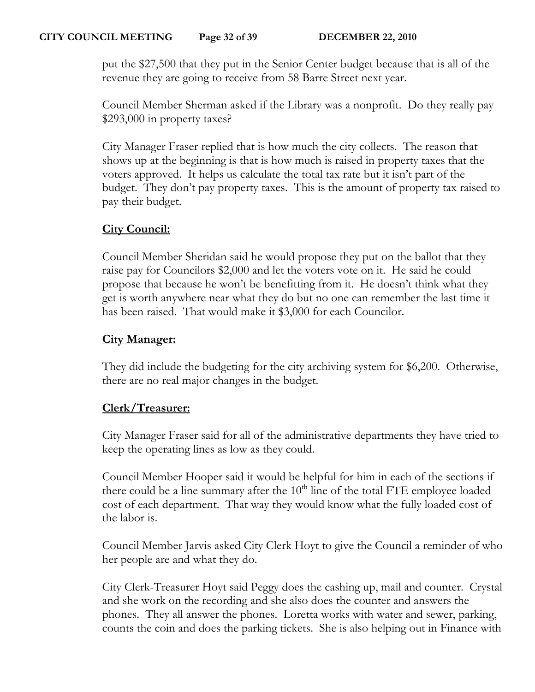put the \$27,500 that they put in the Senior Center budget because that is all of the revenue they are going to receive from 58 Barre Street next year.

Council Member Sherman asked if the Library was a nonprofit. Do they really pay \$293,000 in property taxes?

City Manager Fraser replied that is how much the city collects. The reason that shows up at the beginning is that is how much is raised in property taxes that the voters approved. It helps us calculate the total tax rate but it isn't part of the budget. They don't pay property taxes. This is the amount of property tax raised to pay their budget.

# **City Council:**

Council Member Sheridan said he would propose they put on the ballot that they raise pay for Councilors \$2,000 and let the voters vote on it. He said he could propose that because he won't be benefitting from it. He doesn't think what they get is worth anywhere near what they do but no one can remember the last time it has been raised. That would make it \$3,000 for each Councilor.

## **City Manager:**

They did include the budgeting for the city archiving system for \$6,200. Otherwise, there are no real major changes in the budget.

## **Clerk/Treasurer:**

City Manager Fraser said for all of the administrative departments they have tried to keep the operating lines as low as they could.

Council Member Hooper said it would be helpful for him in each of the sections if there could be a line summary after the  $10<sup>th</sup>$  line of the total FTE employee loaded cost of each department. That way they would know what the fully loaded cost of the labor is.

Council Member Jarvis asked City Clerk Hoyt to give the Council a reminder of who her people are and what they do.

City Clerk-Treasurer Hoyt said Peggy does the cashing up, mail and counter. Crystal and she work on the recording and she also does the counter and answers the phones. They all answer the phones. Loretta works with water and sewer, parking, counts the coin and does the parking tickets. She is also helping out in Finance with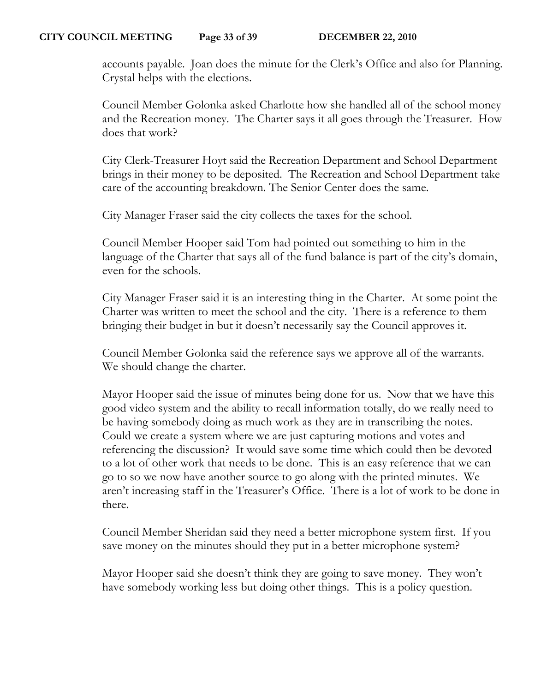accounts payable. Joan does the minute for the Clerk's Office and also for Planning. Crystal helps with the elections.

Council Member Golonka asked Charlotte how she handled all of the school money and the Recreation money. The Charter says it all goes through the Treasurer. How does that work?

City Clerk-Treasurer Hoyt said the Recreation Department and School Department brings in their money to be deposited. The Recreation and School Department take care of the accounting breakdown. The Senior Center does the same.

City Manager Fraser said the city collects the taxes for the school.

Council Member Hooper said Tom had pointed out something to him in the language of the Charter that says all of the fund balance is part of the city's domain, even for the schools.

City Manager Fraser said it is an interesting thing in the Charter. At some point the Charter was written to meet the school and the city. There is a reference to them bringing their budget in but it doesn't necessarily say the Council approves it.

Council Member Golonka said the reference says we approve all of the warrants. We should change the charter.

Mayor Hooper said the issue of minutes being done for us. Now that we have this good video system and the ability to recall information totally, do we really need to be having somebody doing as much work as they are in transcribing the notes. Could we create a system where we are just capturing motions and votes and referencing the discussion? It would save some time which could then be devoted to a lot of other work that needs to be done. This is an easy reference that we can go to so we now have another source to go along with the printed minutes. We aren't increasing staff in the Treasurer's Office. There is a lot of work to be done in there.

Council Member Sheridan said they need a better microphone system first. If you save money on the minutes should they put in a better microphone system?

Mayor Hooper said she doesn't think they are going to save money. They won't have somebody working less but doing other things. This is a policy question.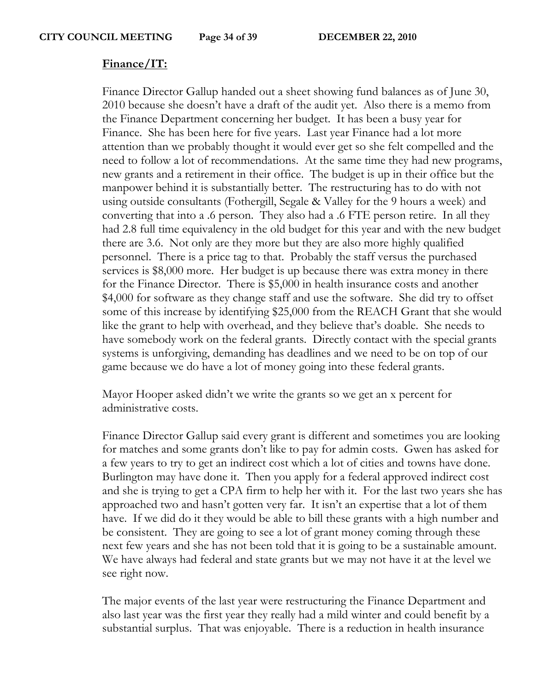#### **Finance/IT:**

Finance Director Gallup handed out a sheet showing fund balances as of June 30, 2010 because she doesn't have a draft of the audit yet. Also there is a memo from the Finance Department concerning her budget. It has been a busy year for Finance. She has been here for five years. Last year Finance had a lot more attention than we probably thought it would ever get so she felt compelled and the need to follow a lot of recommendations. At the same time they had new programs, new grants and a retirement in their office. The budget is up in their office but the manpower behind it is substantially better. The restructuring has to do with not using outside consultants (Fothergill, Segale & Valley for the 9 hours a week) and converting that into a .6 person. They also had a .6 FTE person retire. In all they had 2.8 full time equivalency in the old budget for this year and with the new budget there are 3.6. Not only are they more but they are also more highly qualified personnel. There is a price tag to that. Probably the staff versus the purchased services is \$8,000 more. Her budget is up because there was extra money in there for the Finance Director. There is \$5,000 in health insurance costs and another \$4,000 for software as they change staff and use the software. She did try to offset some of this increase by identifying \$25,000 from the REACH Grant that she would like the grant to help with overhead, and they believe that's doable. She needs to have somebody work on the federal grants. Directly contact with the special grants systems is unforgiving, demanding has deadlines and we need to be on top of our game because we do have a lot of money going into these federal grants.

Mayor Hooper asked didn't we write the grants so we get an x percent for administrative costs.

Finance Director Gallup said every grant is different and sometimes you are looking for matches and some grants don't like to pay for admin costs. Gwen has asked for a few years to try to get an indirect cost which a lot of cities and towns have done. Burlington may have done it. Then you apply for a federal approved indirect cost and she is trying to get a CPA firm to help her with it. For the last two years she has approached two and hasn't gotten very far. It isn't an expertise that a lot of them have. If we did do it they would be able to bill these grants with a high number and be consistent. They are going to see a lot of grant money coming through these next few years and she has not been told that it is going to be a sustainable amount. We have always had federal and state grants but we may not have it at the level we see right now.

The major events of the last year were restructuring the Finance Department and also last year was the first year they really had a mild winter and could benefit by a substantial surplus. That was enjoyable. There is a reduction in health insurance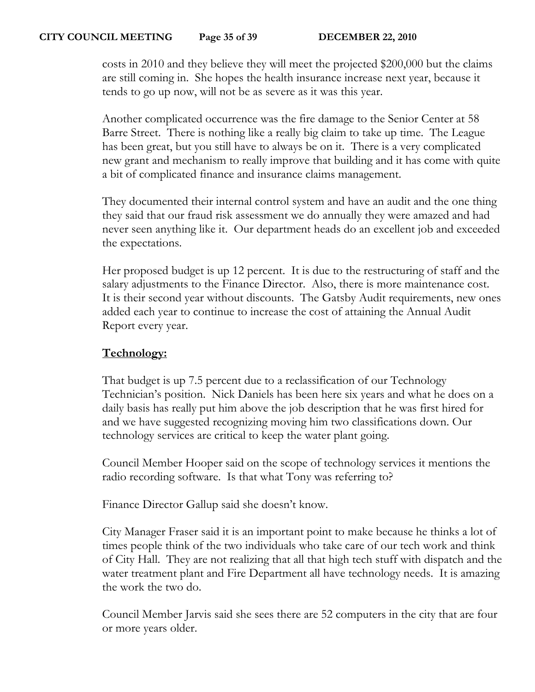costs in 2010 and they believe they will meet the projected \$200,000 but the claims are still coming in. She hopes the health insurance increase next year, because it tends to go up now, will not be as severe as it was this year.

Another complicated occurrence was the fire damage to the Senior Center at 58 Barre Street. There is nothing like a really big claim to take up time. The League has been great, but you still have to always be on it. There is a very complicated new grant and mechanism to really improve that building and it has come with quite a bit of complicated finance and insurance claims management.

They documented their internal control system and have an audit and the one thing they said that our fraud risk assessment we do annually they were amazed and had never seen anything like it. Our department heads do an excellent job and exceeded the expectations.

Her proposed budget is up 12 percent. It is due to the restructuring of staff and the salary adjustments to the Finance Director. Also, there is more maintenance cost. It is their second year without discounts. The Gatsby Audit requirements, new ones added each year to continue to increase the cost of attaining the Annual Audit Report every year.

## **Technology:**

That budget is up 7.5 percent due to a reclassification of our Technology Technician's position. Nick Daniels has been here six years and what he does on a daily basis has really put him above the job description that he was first hired for and we have suggested recognizing moving him two classifications down. Our technology services are critical to keep the water plant going.

Council Member Hooper said on the scope of technology services it mentions the radio recording software. Is that what Tony was referring to?

Finance Director Gallup said she doesn't know.

City Manager Fraser said it is an important point to make because he thinks a lot of times people think of the two individuals who take care of our tech work and think of City Hall. They are not realizing that all that high tech stuff with dispatch and the water treatment plant and Fire Department all have technology needs. It is amazing the work the two do.

Council Member Jarvis said she sees there are 52 computers in the city that are four or more years older.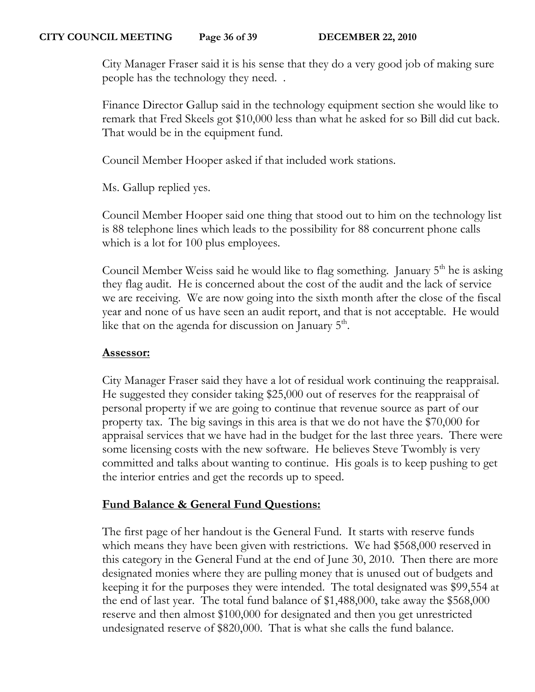City Manager Fraser said it is his sense that they do a very good job of making sure people has the technology they need. .

Finance Director Gallup said in the technology equipment section she would like to remark that Fred Skeels got \$10,000 less than what he asked for so Bill did cut back. That would be in the equipment fund.

Council Member Hooper asked if that included work stations.

Ms. Gallup replied yes.

Council Member Hooper said one thing that stood out to him on the technology list is 88 telephone lines which leads to the possibility for 88 concurrent phone calls which is a lot for 100 plus employees.

Council Member Weiss said he would like to flag something. January  $5<sup>th</sup>$  he is asking they flag audit. He is concerned about the cost of the audit and the lack of service we are receiving. We are now going into the sixth month after the close of the fiscal year and none of us have seen an audit report, and that is not acceptable. He would like that on the agenda for discussion on January  $5^{\text{m}}$ .

# **Assessor:**

City Manager Fraser said they have a lot of residual work continuing the reappraisal. He suggested they consider taking \$25,000 out of reserves for the reappraisal of personal property if we are going to continue that revenue source as part of our property tax. The big savings in this area is that we do not have the \$70,000 for appraisal services that we have had in the budget for the last three years. There were some licensing costs with the new software. He believes Steve Twombly is very committed and talks about wanting to continue. His goals is to keep pushing to get the interior entries and get the records up to speed.

# **Fund Balance & General Fund Questions:**

The first page of her handout is the General Fund. It starts with reserve funds which means they have been given with restrictions. We had \$568,000 reserved in this category in the General Fund at the end of June 30, 2010. Then there are more designated monies where they are pulling money that is unused out of budgets and keeping it for the purposes they were intended. The total designated was \$99,554 at the end of last year. The total fund balance of \$1,488,000, take away the \$568,000 reserve and then almost \$100,000 for designated and then you get unrestricted undesignated reserve of \$820,000. That is what she calls the fund balance.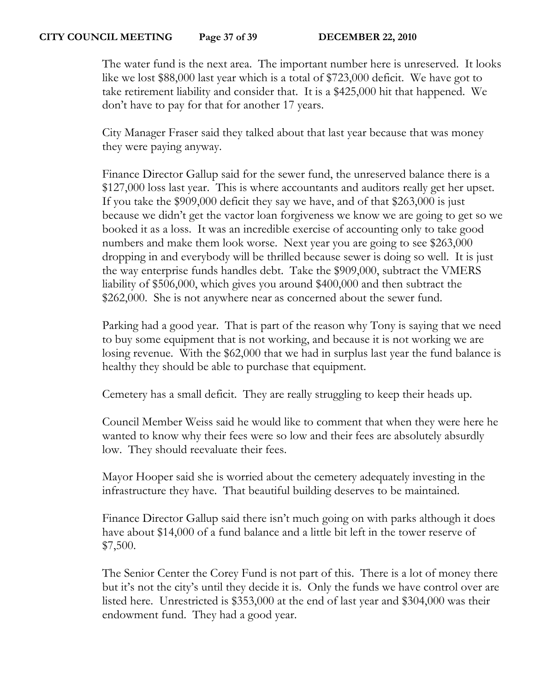The water fund is the next area. The important number here is unreserved. It looks like we lost \$88,000 last year which is a total of \$723,000 deficit. We have got to take retirement liability and consider that. It is a \$425,000 hit that happened. We don't have to pay for that for another 17 years.

City Manager Fraser said they talked about that last year because that was money they were paying anyway.

Finance Director Gallup said for the sewer fund, the unreserved balance there is a \$127,000 loss last year. This is where accountants and auditors really get her upset. If you take the \$909,000 deficit they say we have, and of that \$263,000 is just because we didn't get the vactor loan forgiveness we know we are going to get so we booked it as a loss. It was an incredible exercise of accounting only to take good numbers and make them look worse. Next year you are going to see \$263,000 dropping in and everybody will be thrilled because sewer is doing so well. It is just the way enterprise funds handles debt. Take the \$909,000, subtract the VMERS liability of \$506,000, which gives you around \$400,000 and then subtract the \$262,000. She is not anywhere near as concerned about the sewer fund.

Parking had a good year. That is part of the reason why Tony is saying that we need to buy some equipment that is not working, and because it is not working we are losing revenue. With the \$62,000 that we had in surplus last year the fund balance is healthy they should be able to purchase that equipment.

Cemetery has a small deficit. They are really struggling to keep their heads up.

Council Member Weiss said he would like to comment that when they were here he wanted to know why their fees were so low and their fees are absolutely absurdly low. They should reevaluate their fees.

Mayor Hooper said she is worried about the cemetery adequately investing in the infrastructure they have. That beautiful building deserves to be maintained.

Finance Director Gallup said there isn't much going on with parks although it does have about \$14,000 of a fund balance and a little bit left in the tower reserve of \$7,500.

The Senior Center the Corey Fund is not part of this. There is a lot of money there but it's not the city's until they decide it is. Only the funds we have control over are listed here. Unrestricted is \$353,000 at the end of last year and \$304,000 was their endowment fund. They had a good year.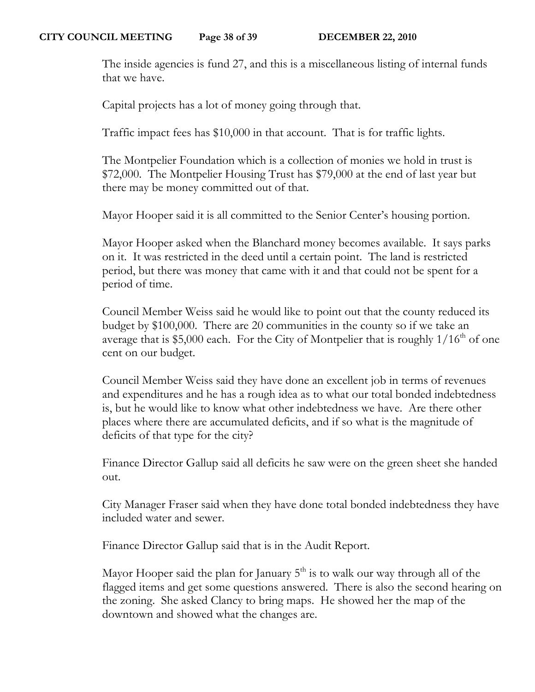The inside agencies is fund 27, and this is a miscellaneous listing of internal funds that we have.

Capital projects has a lot of money going through that.

Traffic impact fees has \$10,000 in that account. That is for traffic lights.

The Montpelier Foundation which is a collection of monies we hold in trust is \$72,000. The Montpelier Housing Trust has \$79,000 at the end of last year but there may be money committed out of that.

Mayor Hooper said it is all committed to the Senior Center's housing portion.

Mayor Hooper asked when the Blanchard money becomes available. It says parks on it. It was restricted in the deed until a certain point. The land is restricted period, but there was money that came with it and that could not be spent for a period of time.

Council Member Weiss said he would like to point out that the county reduced its budget by \$100,000. There are 20 communities in the county so if we take an average that is \$5,000 each. For the City of Montpelier that is roughly  $1/16^{th}$  of one cent on our budget.

Council Member Weiss said they have done an excellent job in terms of revenues and expenditures and he has a rough idea as to what our total bonded indebtedness is, but he would like to know what other indebtedness we have. Are there other places where there are accumulated deficits, and if so what is the magnitude of deficits of that type for the city?

Finance Director Gallup said all deficits he saw were on the green sheet she handed out.

City Manager Fraser said when they have done total bonded indebtedness they have included water and sewer.

Finance Director Gallup said that is in the Audit Report.

Mayor Hooper said the plan for January  $5<sup>th</sup>$  is to walk our way through all of the flagged items and get some questions answered. There is also the second hearing on the zoning. She asked Clancy to bring maps. He showed her the map of the downtown and showed what the changes are.